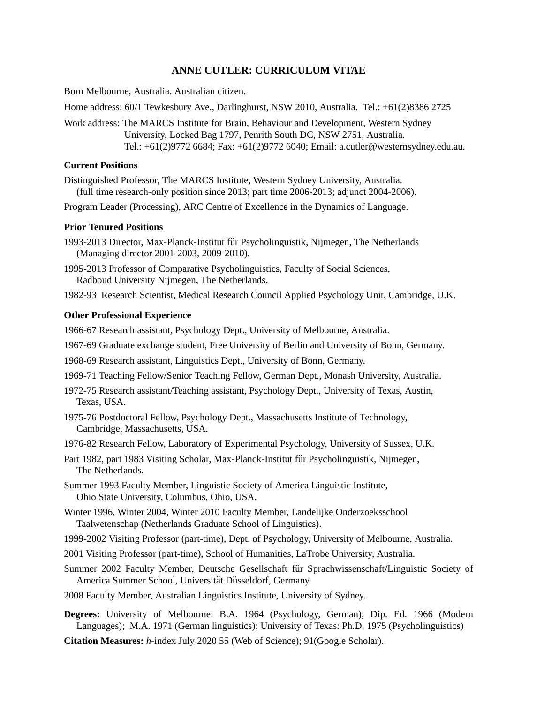# **ANNE CUTLER: CURRICULUM VITAE**

Born Melbourne, Australia. Australian citizen.

Home address: 60/1 Tewkesbury Ave., Darlinghurst, NSW 2010, Australia. Tel.: +61(2)8386 2725

Work address: The MARCS Institute for Brain, Behaviour and Development, Western Sydney University, Locked Bag 1797, Penrith South DC, NSW 2751, Australia. Tel.: +61(2)9772 6684; Fax: +61(2)9772 6040; Email: a.cutler@westernsydney.edu.au.

### **Current Positions**

Distinguished Professor, The MARCS Institute, Western Sydney University, Australia. (full time research-only position since 2013; part time 2006-2013; adjunct 2004-2006).

Program Leader (Processing), ARC Centre of Excellence in the Dynamics of Language.

### **Prior Tenured Positions**

- 1993-2013 Director, Max-Planck-Institut für Psycholinguistik, Nijmegen, The Netherlands (Managing director 2001-2003, 2009-2010).
- 1995-2013 Professor of Comparative Psycholinguistics, Faculty of Social Sciences, Radboud University Nijmegen, The Netherlands.

1982-93 Research Scientist, Medical Research Council Applied Psychology Unit, Cambridge, U.K.

### **Other Professional Experience**

- 1966-67 Research assistant, Psychology Dept., University of Melbourne, Australia.
- 1967-69 Graduate exchange student, Free University of Berlin and University of Bonn, Germany.
- 1968-69 Research assistant, Linguistics Dept., University of Bonn, Germany.
- 1969-71 Teaching Fellow/Senior Teaching Fellow, German Dept., Monash University, Australia.
- 1972-75 Research assistant/Teaching assistant, Psychology Dept., University of Texas, Austin, Texas, USA.
- 1975-76 Postdoctoral Fellow, Psychology Dept., Massachusetts Institute of Technology, Cambridge, Massachusetts, USA.
- 1976-82 Research Fellow, Laboratory of Experimental Psychology, University of Sussex, U.K.
- Part 1982, part 1983 Visiting Scholar, Max-Planck-Institut für Psycholinguistik, Nijmegen, The Netherlands.
- Summer 1993 Faculty Member, Linguistic Society of America Linguistic Institute, Ohio State University, Columbus, Ohio, USA.
- Winter 1996, Winter 2004, Winter 2010 Faculty Member, Landelijke Onderzoeksschool Taalwetenschap (Netherlands Graduate School of Linguistics).
- 1999-2002 Visiting Professor (part-time), Dept. of Psychology, University of Melbourne, Australia.
- 2001 Visiting Professor (part-time), School of Humanities, LaTrobe University, Australia.
- Summer 2002 Faculty Member, Deutsche Gesellschaft für Sprachwissenschaft/Linguistic Society of America Summer School, Universität Düsseldorf, Germany.
- 2008 Faculty Member, Australian Linguistics Institute, University of Sydney.
- **Degrees:** University of Melbourne: B.A. 1964 (Psychology, German); Dip. Ed. 1966 (Modern Languages); M.A. 1971 (German linguistics); University of Texas: Ph.D. 1975 (Psycholinguistics)
- **Citation Measures:** *h*-index July 2020 55 (Web of Science); 91(Google Scholar).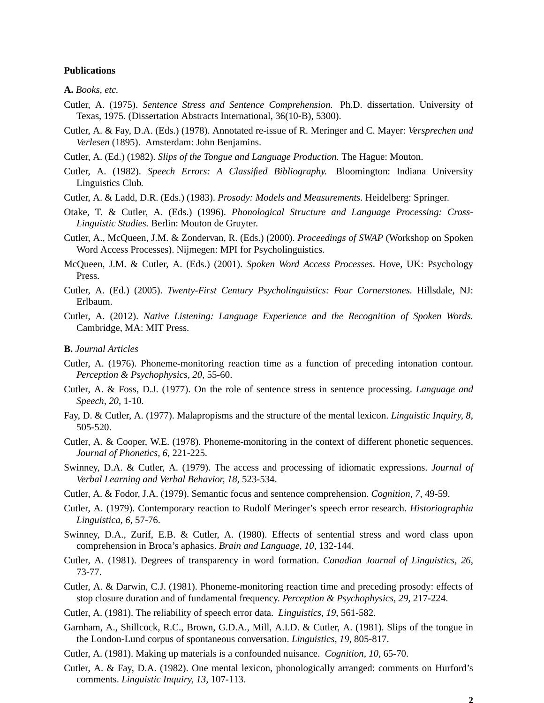### **Publications**

**A.** *Books, etc.*

- Cutler, A. (1975). *Sentence Stress and Sentence Comprehension.* Ph.D. dissertation. University of Texas, 1975. (Dissertation Abstracts International, 36(10-B), 5300).
- Cutler, A. & Fay, D.A. (Eds.) (1978). Annotated re-issue of R. Meringer and C. Mayer: *Versprechen und Verlesen* (1895). Amsterdam: John Benjamins.
- Cutler, A. (Ed.) (1982). *Slips of the Tongue and Language Production.* The Hague: Mouton.
- Cutler, A. (1982). *Speech Errors: A Classified Bibliography.* Bloomington: Indiana University Linguistics Club.
- Cutler, A. & Ladd, D.R. (Eds.) (1983). *Prosody: Models and Measurements.* Heidelberg: Springer.
- Otake, T. & Cutler, A. (Eds.) (1996). *Phonological Structure and Language Processing: Cross-Linguistic Studies.* Berlin: Mouton de Gruyter.
- Cutler, A., McQueen, J.M. & Zondervan, R. (Eds.) (2000). *Proceedings of SWAP* (Workshop on Spoken Word Access Processes). Nijmegen: MPI for Psycholinguistics.
- McQueen, J.M. & Cutler, A. (Eds.) (2001). *Spoken Word Access Processes*. Hove, UK: Psychology Press.
- Cutler, A. (Ed.) (2005). *Twenty-First Century Psycholinguistics: Four Cornerstones.* Hillsdale, NJ: Erlbaum.
- Cutler, A. (2012). *Native Listening: Language Experience and the Recognition of Spoken Words.* Cambridge, MA: MIT Press.

**B.** *Journal Articles*

- Cutler, A. (1976). Phoneme-monitoring reaction time as a function of preceding intonation contour. *Perception & Psychophysics, 20,* 55-60.
- Cutler, A. & Foss, D.J. (1977). On the role of sentence stress in sentence processing. *Language and Speech, 20*, 1-10.
- Fay, D. & Cutler, A. (1977). Malapropisms and the structure of the mental lexicon. *Linguistic Inquiry, 8*, 505-520.
- Cutler, A. & Cooper, W.E. (1978). Phoneme-monitoring in the context of different phonetic sequences. *Journal of Phonetics, 6*, 221-225.
- Swinney, D.A. & Cutler, A. (1979). The access and processing of idiomatic expressions. *Journal of Verbal Learning and Verbal Behavior, 18,* 523-534.
- Cutler, A. & Fodor, J.A. (1979). Semantic focus and sentence comprehension. *Cognition, 7*, 49-59.
- Cutler, A. (1979). Contemporary reaction to Rudolf Meringer's speech error research. *Historiographia Linguistica, 6*, 57-76.
- Swinney, D.A., Zurif, E.B. & Cutler, A. (1980). Effects of sentential stress and word class upon comprehension in Broca's aphasics. *Brain and Language, 10,* 132-144.
- Cutler, A. (1981). Degrees of transparency in word formation. *Canadian Journal of Linguistics, 26,* 73-77.
- Cutler, A. & Darwin, C.J. (1981). Phoneme-monitoring reaction time and preceding prosody: effects of stop closure duration and of fundamental frequency. *Perception & Psychophysics, 29,* 217-224.
- Cutler, A. (1981). The reliability of speech error data. *Linguistics, 19*, 561-582.
- Garnham, A., Shillcock, R.C., Brown, G.D.A., Mill, A.I.D. & Cutler, A. (1981). Slips of the tongue in the London-Lund corpus of spontaneous conversation. *Linguistics, 19*, 805-817.
- Cutler, A. (1981). Making up materials is a confounded nuisance. *Cognition, 10*, 65-70.
- Cutler, A. & Fay, D.A. (1982). One mental lexicon, phonologically arranged: comments on Hurford's comments. *Linguistic Inquiry, 13,* 107-113.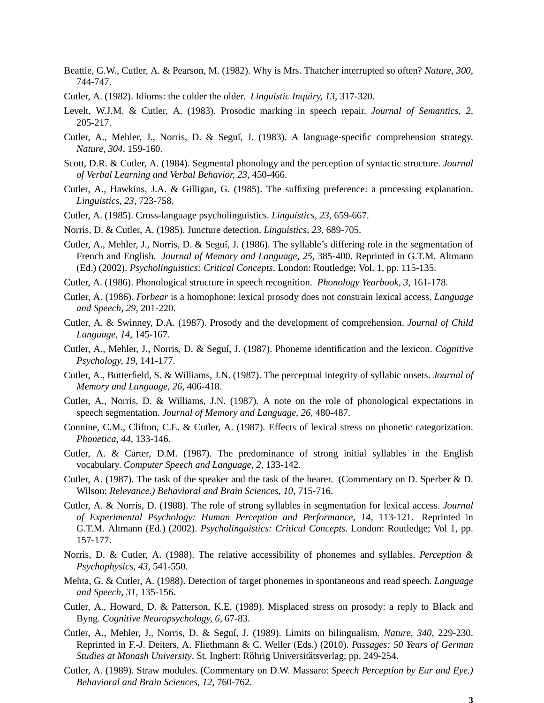- Beattie, G.W., Cutler, A. & Pearson, M. (1982). Why is Mrs. Thatcher interrupted so often? *Nature, 300*, 744-747.
- Cutler, A. (1982). Idioms: the colder the older. *Linguistic Inquiry, 13,* 317-320.
- Levelt, W.J.M. & Cutler, A. (1983). Prosodic marking in speech repair. *Journal of Semantics, 2,* 205-217.
- Cutler, A., Mehler, J., Norris, D. & Segui´, J. (1983). A language-specific comprehension strategy. *Nature, 304*, 159-160.
- Scott, D.R. & Cutler, A. (1984). Segmental phonology and the perception of syntactic structure. *Journal of Verbal Learning and Verbal Behavior, 23,* 450-466.
- Cutler, A., Hawkins, J.A. & Gilligan, G. (1985). The suffixing preference: a processing explanation. *Linguistics, 23*, 723-758.
- Cutler, A. (1985). Cross-language psycholinguistics. *Linguistics, 23,* 659-667.
- Norris, D. & Cutler, A. (1985). Juncture detection. *Linguistics, 23*, 689-705.
- Cutler, A., Mehler, J., Norris, D. & Segui´, J. (1986). The syllable's differing role in the segmentation of French and English. *Journal of Memory and Language, 25,* 385-400. Reprinted in G.T.M. Altmann (Ed.) (2002). *Psycholinguistics: Critical Concepts*. London: Routledge; Vol. 1, pp. 115-135.
- Cutler, A. (1986). Phonological structure in speech recognition. *Phonology Yearbook, 3,* 161-178.
- Cutler, A. (1986). *Forbear* is a homophone: lexical prosody does not constrain lexical access. *Language and Speech, 29,* 201-220.
- Cutler, A. & Swinney, D.A. (1987). Prosody and the development of comprehension. *Journal of Child Language, 14,* 145-167.
- Cutler, A., Mehler, J., Norris, D. & Segui´, J. (1987). Phoneme identification and the lexicon. *Cognitive Psychology, 19,* 141-177.
- Cutler, A., Butterfield, S. & Williams, J.N. (1987). The perceptual integrity of syllabic onsets. *Journal of Memory and Language, 26,* 406-418.
- Cutler, A., Norris, D. & Williams, J.N. (1987). A note on the role of phonological expectations in speech segmentation. *Journal of Memory and Language, 26,* 480-487.
- Connine, C.M., Clifton, C.E. & Cutler, A. (1987). Effects of lexical stress on phonetic categorization. *Phonetica, 44,* 133-146.
- Cutler, A. & Carter, D.M. (1987). The predominance of strong initial syllables in the English vocabulary. *Computer Speech and Language, 2,* 133-142.
- Cutler, A. (1987). The task of the speaker and the task of the hearer. (Commentary on D. Sperber & D. Wilson: *Relevance.) Behavioral and Brain Sciences, 10*, 715-716.
- Cutler, A. & Norris, D. (1988). The role of strong syllables in segmentation for lexical access. *Journal of Experimental Psychology: Human Perception and Performance, 14*, 113-121. Reprinted in G.T.M. Altmann (Ed.) (2002). *Psycholinguistics: Critical Concepts*. London: Routledge; Vol 1, pp. 157-177.
- Norris, D. & Cutler, A. (1988). The relative accessibility of phonemes and syllables. *Perception & Psychophysics, 43,* 541-550.
- Mehta, G. & Cutler, A. (1988). Detection of target phonemes in spontaneous and read speech. *Language and Speech, 31,* 135-156.
- Cutler, A., Howard, D. & Patterson, K.E. (1989). Misplaced stress on prosody: a reply to Black and Byng. *Cognitive Neuropsychology, 6,* 67-83.
- Cutler, A., Mehler, J., Norris, D. & Segui´, J. (1989). Limits on bilingualism. *Nature, 340,* 229-230. Reprinted in F.-J. Deiters, A. Fliethmann & C. Weller (Eds.) (2010). *Passages: 50 Years of German Studies at Monash University.* St. Ingbert: Röhrig Universitätsverlag; pp. 249-254.
- Cutler, A. (1989). Straw modules. (Commentary on D.W. Massaro: *Speech Perception by Ear and Eye.) Behavioral and Brain Sciences, 12,* 760-762.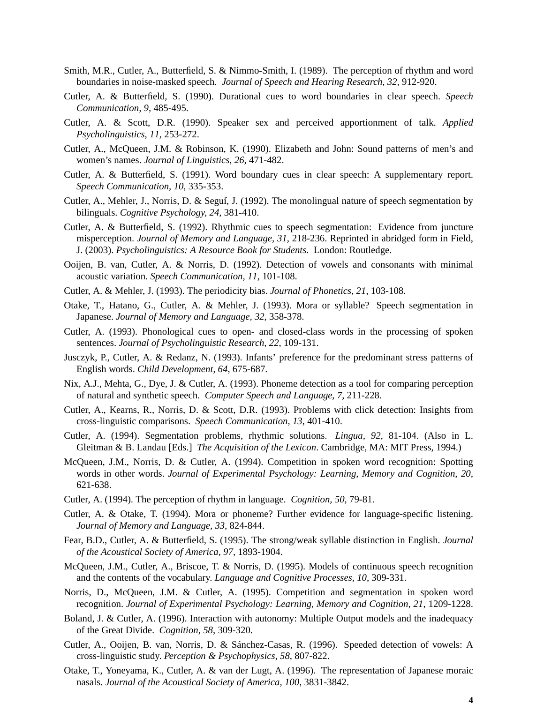- Smith, M.R., Cutler, A., Butterfield, S. & Nimmo-Smith, I. (1989). The perception of rhythm and word boundaries in noise-masked speech. *Journal of Speech and Hearing Research, 32,* 912-920.
- Cutler, A. & Butterfield, S. (1990). Durational cues to word boundaries in clear speech. *Speech Communication, 9,* 485-495.
- Cutler, A. & Scott, D.R. (1990). Speaker sex and perceived apportionment of talk. *Applied Psycholinguistics, 11,* 253-272.
- Cutler, A., McQueen, J.M. & Robinson, K. (1990). Elizabeth and John: Sound patterns of men's and women's names. *Journal of Linguistics, 26,* 471-482.
- Cutler, A. & Butterfield, S. (1991). Word boundary cues in clear speech: A supplementary report. *Speech Communication, 10*, 335-353.
- Cutler, A., Mehler, J., Norris, D. & Segui´, J. (1992). The monolingual nature of speech segmentation by bilinguals. *Cognitive Psychology, 24*, 381-410.
- Cutler, A. & Butterfield, S. (1992). Rhythmic cues to speech segmentation: Evidence from juncture misperception. *Journal of Memory and Language, 31*, 218-236. Reprinted in abridged form in Field, J. (2003). *Psycholinguistics: A Resource Book for Students*. London: Routledge.
- Ooijen, B. van, Cutler, A. & Norris, D. (1992). Detection of vowels and consonants with minimal acoustic variation. *Speech Communication, 11*, 101-108.
- Cutler, A. & Mehler, J. (1993). The periodicity bias. *Journal of Phonetics, 21*, 103-108.
- Otake, T., Hatano, G., Cutler, A. & Mehler, J. (1993). Mora or syllable? Speech segmentation in Japanese. *Journal of Memory and Language, 32*, 358-378.
- Cutler, A. (1993). Phonological cues to open- and closed-class words in the processing of spoken sentences. *Journal of Psycholinguistic Research, 22*, 109-131.
- Jusczyk, P., Cutler, A. & Redanz, N. (1993). Infants' preference for the predominant stress patterns of English words. *Child Development, 64*, 675-687.
- Nix, A.J., Mehta, G., Dye, J. & Cutler, A. (1993). Phoneme detection as a tool for comparing perception of natural and synthetic speech. *Computer Speech and Language, 7*, 211-228.
- Cutler, A., Kearns, R., Norris, D. & Scott, D.R. (1993). Problems with click detection: Insights from cross-linguistic comparisons. *Speech Communication, 13*, 401-410.
- Cutler, A. (1994). Segmentation problems, rhythmic solutions. *Lingua, 92*, 81-104. (Also in L. Gleitman & B. Landau [Eds.] *The Acquisition of the Lexicon*. Cambridge, MA: MIT Press, 1994.)
- McQueen, J.M., Norris, D. & Cutler, A. (1994). Competition in spoken word recognition: Spotting words in other words. *Journal of Experimental Psychology: Learning, Memory and Cognition, 20*, 621-638.
- Cutler, A. (1994). The perception of rhythm in language. *Cognition, 50*, 79-81.
- Cutler, A. & Otake, T. (1994). Mora or phoneme? Further evidence for language-specific listening. *Journal of Memory and Language, 33*, 824-844.
- Fear, B.D., Cutler, A. & Butterfield, S. (1995). The strong/weak syllable distinction in English. *Journal of the Acoustical Society of America, 97*, 1893-1904.
- McQueen, J.M., Cutler, A., Briscoe, T. & Norris, D. (1995). Models of continuous speech recognition and the contents of the vocabulary. *Language and Cognitive Processes, 10*, 309-331.
- Norris, D., McQueen, J.M. & Cutler, A. (1995). Competition and segmentation in spoken word recognition. *Journal of Experimental Psychology: Learning, Memory and Cognition, 21*, 1209-1228.
- Boland, J. & Cutler, A. (1996). Interaction with autonomy: Multiple Output models and the inadequacy of the Great Divide. *Cognition, 58*, 309-320.
- Cutler, A., Ooijen, B. van, Norris, D. & Sánchez-Casas, R. (1996). Speeded detection of vowels: A cross-linguistic study. *Perception & Psychophysics, 58*, 807-822.
- Otake, T., Yoneyama, K., Cutler, A. & van der Lugt, A. (1996). The representation of Japanese moraic nasals. *Journal of the Acoustical Society of America, 100*, 3831-3842.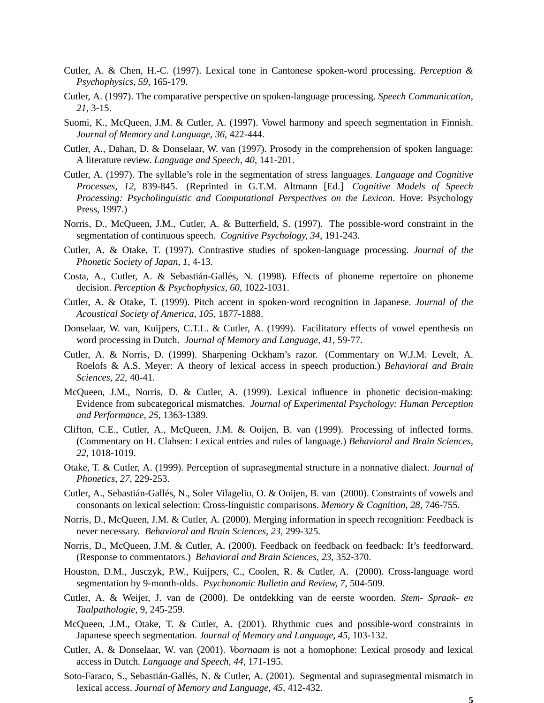- Cutler, A. & Chen, H.-C. (1997). Lexical tone in Cantonese spoken-word processing. *Perception & Psychophysics, 59*, 165-179.
- Cutler, A. (1997). The comparative perspective on spoken-language processing. *Speech Communication, 21*, 3-15.
- Suomi, K., McQueen, J.M. & Cutler, A. (1997). Vowel harmony and speech segmentation in Finnish. *Journal of Memory and Language, 36*, 422-444.
- Cutler, A., Dahan, D. & Donselaar, W. van (1997). Prosody in the comprehension of spoken language: A literature review. *Language and Speech, 40*, 141-201.
- Cutler, A. (1997). The syllable's role in the segmentation of stress languages. *Language and Cognitive Processes, 12*, 839-845. (Reprinted in G.T.M. Altmann [Ed.] *Cognitive Models of Speech Processing: Psycholinguistic and Computational Perspectives on the Lexicon*. Hove: Psychology Press, 1997.)
- Norris, D., McQueen, J.M., Cutler, A. & Butterfield, S. (1997). The possible-word constraint in the segmentation of continuous speech. *Cognitive Psychology, 34*, 191-243.
- Cutler, A. & Otake, T. (1997). Contrastive studies of spoken-language processing. *Journal of the Phonetic Society of Japan, 1*, 4-13.
- Costa, A., Cutler, A. & Sebastián-Gallés, N. (1998). Effects of phoneme repertoire on phoneme decision. *Perception & Psychophysics, 60*, 1022-1031.
- Cutler, A. & Otake, T. (1999). Pitch accent in spoken-word recognition in Japanese. *Journal of the Acoustical Society of America, 105*, 1877-1888.
- Donselaar, W. van, Kuijpers, C.T.L. & Cutler, A. (1999). Facilitatory effects of vowel epenthesis on word processing in Dutch. *Journal of Memory and Language, 41*, 59-77.
- Cutler, A. & Norris, D. (1999). Sharpening Ockham's razor. (Commentary on W.J.M. Levelt, A. Roelofs & A.S. Meyer: A theory of lexical access in speech production.) *Behavioral and Brain Sciences, 22*, 40-41.
- McQueen, J.M., Norris, D. & Cutler, A. (1999). Lexical influence in phonetic decision-making: Evidence from subcategorical mismatches. *Journal of Experimental Psychology: Human Perception and Performance, 25*, 1363-1389.
- Clifton, C.E., Cutler, A., McQueen, J.M. & Ooijen, B. van (1999). Processing of inflected forms. (Commentary on H. Clahsen: Lexical entries and rules of language.) *Behavioral and Brain Sciences, 22*, 1018-1019.
- Otake, T. & Cutler, A. (1999). Perception of suprasegmental structure in a nonnative dialect. *Journal of Phonetics, 27*, 229-253.
- Cutler, A., Sebastián-Gallés, N., Soler Vilageliu, O. & Ooijen, B. van (2000). Constraints of vowels and consonants on lexical selection: Cross-linguistic comparisons. *Memory & Cognition, 28*, 746-755.
- Norris, D., McQueen, J.M. & Cutler, A. (2000). Merging information in speech recognition: Feedback is never necessary. *Behavioral and Brain Sciences, 23,* 299-325.
- Norris, D., McQueen, J.M. & Cutler, A. (2000). Feedback on feedback on feedback: It's feedforward. (Response to commentators.) *Behavioral and Brain Sciences, 23,* 352-370.
- Houston, D.M., Jusczyk, P.W., Kuijpers, C., Coolen, R. & Cutler, A. (2000). Cross-language word segmentation by 9-month-olds. *Psychonomic Bulletin and Review, 7*, 504-509.
- Cutler, A. & Weijer, J. van de (2000). De ontdekking van de eerste woorden. *Stem- Spraak- en Taalpathologie*, 9, 245-259.
- McQueen, J.M., Otake, T. & Cutler, A. (2001). Rhythmic cues and possible-word constraints in Japanese speech segmentation. *Journal of Memory and Language, 45*, 103-132.
- Cutler, A. & Donselaar, W. van (2001). *Voornaam* is not a homophone: Lexical prosody and lexical access in Dutch. *Language and Speech, 44*, 171-195.
- Soto-Faraco, S., Sebastián-Gallés, N. & Cutler, A. (2001). Segmental and suprasegmental mismatch in lexical access. *Journal of Memory and Language, 45*, 412-432.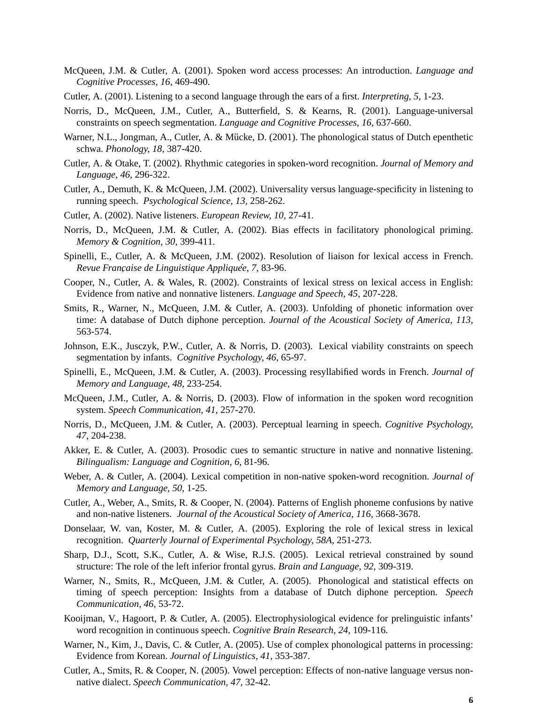- McQueen, J.M. & Cutler, A. (2001). Spoken word access processes: An introduction. *Language and Cognitive Processes, 16*, 469-490.
- Cutler, A. (2001). Listening to a second language through the ears of a first. *Interpreting, 5*, 1-23.
- Norris, D., McQueen, J.M., Cutler, A., Butterfield, S. & Kearns, R. (2001). Language-universal constraints on speech segmentation. *Language and Cognitive Processes, 16*, 637-660.
- Warner, N.L., Jongman, A., Cutler, A. & Mücke, D. (2001). The phonological status of Dutch epenthetic schwa. *Phonology, 18*, 387-420.
- Cutler, A. & Otake, T. (2002). Rhythmic categories in spoken-word recognition. *Journal of Memory and Language, 46*, 296-322.
- Cutler, A., Demuth, K. & McQueen, J.M. (2002). Universality versus language-specificity in listening to running speech. *Psychological Science, 13,* 258-262.
- Cutler, A. (2002). Native listeners. *European Review, 10,* 27-41.
- Norris, D., McQueen, J.M. & Cutler, A. (2002). Bias effects in facilitatory phonological priming. *Memory & Cognition, 30*, 399-411.
- Spinelli, E., Cutler, A. & McQueen, J.M. (2002). Resolution of liaison for lexical access in French. *Revue Française de Linguistique Appliquée, 7, 83-96.*
- Cooper, N., Cutler, A. & Wales, R. (2002). Constraints of lexical stress on lexical access in English: Evidence from native and nonnative listeners. *Language and Speech, 45*, 207-228.
- Smits, R., Warner, N., McQueen, J.M. & Cutler, A. (2003). Unfolding of phonetic information over time: A database of Dutch diphone perception. *Journal of the Acoustical Society of America, 113*, 563-574.
- Johnson, E.K., Jusczyk, P.W., Cutler, A. & Norris, D. (2003). Lexical viability constraints on speech segmentation by infants. *Cognitive Psychology, 46*, 65-97.
- Spinelli, E., McQueen, J.M. & Cutler, A. (2003). Processing resyllabified words in French. *Journal of Memory and Language, 48*, 233-254.
- McQueen, J.M., Cutler, A. & Norris, D. (2003). Flow of information in the spoken word recognition system. *Speech Communication, 41*, 257-270.
- Norris, D., McQueen, J.M. & Cutler, A. (2003). Perceptual learning in speech. *Cognitive Psychology, 47*, 204-238.
- Akker, E. & Cutler, A. (2003). Prosodic cues to semantic structure in native and nonnative listening. *Bilingualism: Language and Cognition, 6*, 81-96.
- Weber, A. & Cutler, A. (2004). Lexical competition in non-native spoken-word recognition. *Journal of Memory and Language, 50*, 1-25.
- Cutler, A., Weber, A., Smits, R. & Cooper, N. (2004). Patterns of English phoneme confusions by native and non-native listeners. *Journal of the Acoustical Society of America, 116*, 3668-3678.
- Donselaar, W. van, Koster, M. & Cutler, A. (2005). Exploring the role of lexical stress in lexical recognition. *Quarterly Journal of Experimental Psychology, 58A,* 251-273.
- Sharp, D.J., Scott, S.K., Cutler, A. & Wise, R.J.S. (2005). Lexical retrieval constrained by sound structure: The role of the left inferior frontal gyrus. *Brain and Language, 92*, 309-319.
- Warner, N., Smits, R., McQueen, J.M. & Cutler, A. (2005). Phonological and statistical effects on timing of speech perception: Insights from a database of Dutch diphone perception. *Speech Communication, 46*, 53-72.
- Kooijman, V., Hagoort, P. & Cutler, A. (2005). Electrophysiological evidence for prelinguistic infants' word recognition in continuous speech. *Cognitive Brain Research, 24*, 109-116.
- Warner, N., Kim, J., Davis, C. & Cutler, A. (2005). Use of complex phonological patterns in processing: Evidence from Korean. *Journal of Linguistics, 41*, 353-387.
- Cutler, A., Smits, R. & Cooper, N. (2005). Vowel perception: Effects of non-native language versus nonnative dialect. *Speech Communication, 47*, 32-42.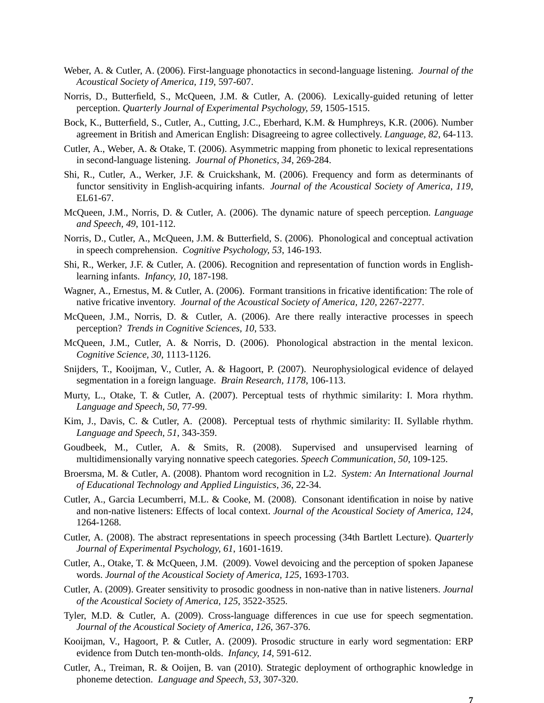- Weber, A. & Cutler, A. (2006). First-language phonotactics in second-language listening. *Journal of the Acoustical Society of America, 119*, 597-607.
- Norris, D., Butterfield, S., McQueen, J.M. & Cutler, A. (2006). Lexically-guided retuning of letter perception. *Quarterly Journal of Experimental Psychology, 59*, 1505-1515.
- Bock, K., Butterfield, S., Cutler, A., Cutting, J.C., Eberhard, K.M. & Humphreys, K.R. (2006). Number agreement in British and American English: Disagreeing to agree collectively. *Language, 82*, 64-113.
- Cutler, A., Weber, A. & Otake, T. (2006). Asymmetric mapping from phonetic to lexical representations in second-language listening. *Journal of Phonetics, 34*, 269-284.
- Shi, R., Cutler, A., Werker, J.F. & Cruickshank, M. (2006). Frequency and form as determinants of functor sensitivity in English-acquiring infants. *Journal of the Acoustical Society of America, 119*, EL61-67.
- McQueen, J.M., Norris, D. & Cutler, A. (2006). The dynamic nature of speech perception. *Language and Speech, 49*, 101-112.
- Norris, D., Cutler, A., McQueen, J.M. & Butterfield, S. (2006). Phonological and conceptual activation in speech comprehension. *Cognitive Psychology, 53*, 146-193.
- Shi, R., Werker, J.F. & Cutler, A. (2006). Recognition and representation of function words in Englishlearning infants. *Infancy, 10*, 187-198.
- Wagner, A., Ernestus, M. & Cutler, A. (2006). Formant transitions in fricative identification: The role of native fricative inv entory. *Journal of the Acoustical Society of America, 120*, 2267-2277.
- McQueen, J.M., Norris, D. & Cutler, A. (2006). Are there really interactive processes in speech perception? *Trends in Cognitive Sciences, 10, 533.*
- McQueen, J.M., Cutler, A. & Norris, D. (2006). Phonological abstraction in the mental lexicon. *Cognitive Science, 30*, 1113-1126.
- Snijders, T., Kooijman, V., Cutler, A. & Hagoort, P. (2007). Neurophysiological evidence of delayed segmentation in a foreign language. *Brain Research, 1178*, 106-113.
- Murty, L., Otake, T. & Cutler, A. (2007). Perceptual tests of rhythmic similarity: I. Mora rhythm. *Language and Speech, 50*, 77-99.
- Kim, J., Davis, C. & Cutler, A. (2008). Perceptual tests of rhythmic similarity: II. Syllable rhythm. *Language and Speech, 51*, 343-359.
- Goudbeek, M., Cutler, A. & Smits, R. (2008). Supervised and unsupervised learning of multidimensionally varying nonnative speech categories. *Speech Communication, 50*, 109-125.
- Broersma, M. & Cutler, A. (2008). Phantom word recognition in L2. *System: An International Journal of Educational Technology and Applied Linguistics, 36*, 22-34.
- Cutler, A., Garcia Lecumberri, M.L. & Cooke, M. (2008). Consonant identification in noise by native and non-native listeners: Effects of local context. *Journal of the Acoustical Society of America, 124*, 1264-1268.
- Cutler, A. (2008). The abstract representations in speech processing (34th Bartlett Lecture). *Quarterly Journal of Experimental Psychology, 61*, 1601-1619.
- Cutler, A., Otake, T. & McQueen, J.M. (2009). Vowel devoicing and the perception of spoken Japanese words. *Journal of the Acoustical Society of America, 125*, 1693-1703.
- Cutler, A. (2009). Greater sensitivity to prosodic goodness in non-native than in native listeners. *Journal of the Acoustical Society of America, 125*, 3522-3525.
- Tyler, M.D. & Cutler, A. (2009). Cross-language differences in cue use for speech segmentation. *Journal of the Acoustical Society of America, 126*, 367-376.
- Kooijman, V., Hagoort, P. & Cutler, A. (2009). Prosodic structure in early word segmentation: ERP evidence from Dutch ten-month-olds. *Infancy, 14*, 591-612.
- Cutler, A., Treiman, R. & Ooijen, B. van (2010). Strategic deployment of orthographic knowledge in phoneme detection. *Language and Speech, 53*, 307-320.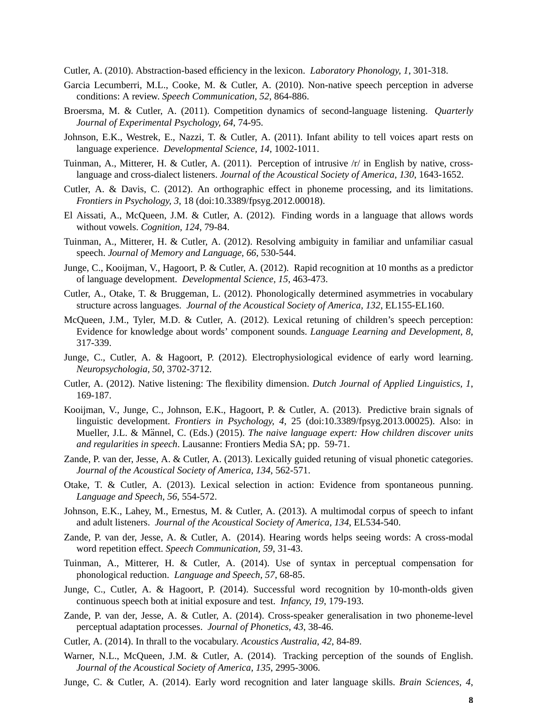Cutler, A. (2010). Abstraction-based efficiency in the lexicon. *Laboratory Phonology, 1*, 301-318.

- Garcia Lecumberri, M.L., Cooke, M. & Cutler, A. (2010). Non-native speech perception in adverse conditions: A review. *Speech Communication, 52*, 864-886.
- Broersma, M. & Cutler, A. (2011). Competition dynamics of second-language listening. *Quarterly Journal of Experimental Psychology, 64*, 74-95.
- Johnson, E.K., Westrek, E., Nazzi, T. & Cutler, A. (2011). Infant ability to tell voices apart rests on language experience. *Developmental Science, 14*, 1002-1011.
- Tuinman, A., Mitterer, H. & Cutler, A. (2011). Perception of intrusive  $/r/$  in English by native, crosslanguage and cross-dialect listeners. *Journal of the Acoustical Society of America, 130*, 1643-1652.
- Cutler, A. & Davis, C. (2012). An orthographic effect in phoneme processing, and its limitations. *Fr ontiers in Psychology, 3*, 18 (doi:10.3389/fpsyg.2012.00018).
- El Aissati, A., McQueen, J.M. & Cutler, A. (2012). Finding words in a language that allows words without vowels. *Cognition, 124*, 79-84.
- Tuinman, A., Mitterer, H. & Cutler, A. (2012). Resolving ambiguity in familiar and unfamiliar casual speech. *Journal of Memory and Language, 66*, 530-544.
- Junge, C., Kooijman, V., Hagoort, P. & Cutler, A. (2012). Rapid recognition at 10 months as a predictor of language development. *Developmental Science, 15*, 463-473.
- Cutler, A., Otake, T. & Bruggeman, L. (2012). Phonologically determined asymmetries in vocabulary structure across languages. *Journal of the Acoustical Society of America, 132*, EL155-EL160.
- McQueen, J.M., Tyler, M.D. & Cutler, A. (2012). Lexical retuning of children's speech perception: Evidence for knowledge about words' component sounds. *Language Learning and Development, 8*, 317-339.
- Junge, C., Cutler, A. & Hagoort, P. (2012). Electrophysiological evidence of early word learning. *Neuropsychologia, 50*, 3702-3712.
- Cutler, A. (2012). Native listening: The flexibility dimension. *Dutch Journal of Applied Linguistics, 1*, 169-187.
- Kooijman, V., Junge, C., Johnson, E.K., Hagoort, P. & Cutler, A. (2013). Predictive brain signals of linguistic development. *Frontiers in Psychology, 4*, 25 (doi:10.3389/fpsyg.2013.00025). Also: in Mueller, J.L. & Männel, C. (Eds.) (2015). *The naive language expert: How children discover units and regularities in speech*. Lausanne: Frontiers Media SA; pp. 59-71.
- Zande, P. van der, Jesse, A. & Cutler, A. (2013). Lexically guided retuning of visual phonetic categories. *Journal of the Acoustical Society of America, 134*, 562-571.
- Otake, T. & Cutler, A. (2013). Lexical selection in action: Evidence from spontaneous punning. *Language and Speech, 56*, 554-572.
- Johnson, E.K., Lahey, M., Ernestus, M. & Cutler, A. (2013). A multimodal corpus of speech to infant and adult listeners. *Journal of the Acoustical Society of America, 134*, EL534-540.
- Zande, P. van der, Jesse, A. & Cutler, A. (2014). Hearing words helps seeing words: A cross-modal word repetition effect. *Speech Communication, 59*, 31-43.
- Tuinman, A., Mitterer, H. & Cutler, A. (2014). Use of syntax in perceptual compensation for phonological reduction. *Language and Speech, 57*, 68-85.
- Junge, C., Cutler, A. & Hagoort, P. (2014). Successful word recognition by 10-month-olds given continuous speech both at initial exposure and test. *Infancy, 19*, 179-193.
- Zande, P. van der, Jesse, A. & Cutler, A. (2014). Cross-speaker generalisation in two phoneme-level perceptual adaptation processes. *Journal of Phonetics, 43*, 38-46.
- Cutler, A. (2014). In thrall to the vocabulary. *Acoustics Australia, 42*, 84-89.
- Warner, N.L., McQueen, J.M. & Cutler, A. (2014). Tracking perception of the sounds of English. *Journal of the Acoustical Society of America, 135*, 2995-3006.
- Junge, C. & Cutler, A. (2014). Early word recognition and later language skills. *Brain Sciences, 4*,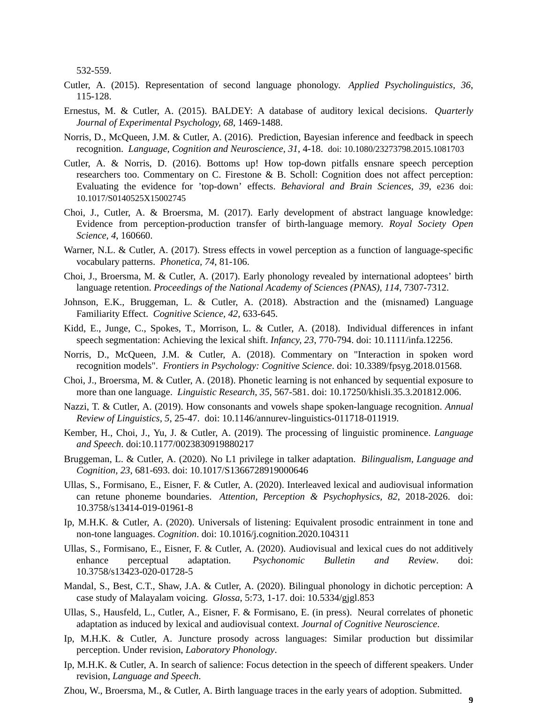532-559.

- Cutler, A. (2015). Representation of second language phonology. *Applied Psycholinguistics, 36*, 115-128.
- Ernestus, M. & Cutler, A. (2015). BALDEY: A database of auditory lexical decisions. *Quarterly Journal of Experimental Psychology, 68*, 1469-1488.
- Norris, D., McQueen, J.M. & Cutler, A. (2016). Prediction, Bayesian inference and feedback in speech recognition. *Language, Cognition and Neuroscience, 31*, 4-18. doi: 10.1080/23273798.2015.1081703
- Cutler, A. & Norris, D. (2016). Bottoms up! How top-down pitfalls ensnare speech perception researchers too. Commentary on C. Firestone & B. Scholl: Cognition does not affect perception: Evaluating the evidence for 'top-down' effects. *Behavioral and Brain Sciences, 39*, e236 doi: 10.1017/S0140525X15002745
- Choi, J., Cutler, A. & Broersma, M. (2017). Early development of abstract language knowledge: Evidence from perception-production transfer of birth-language memory. *Royal Society Open Science, 4*, 160660.
- Warner, N.L. & Cutler, A. (2017). Stress effects in vowel perception as a function of language-specific vocabulary patterns. *Phonetica, 74*, 81-106.
- Choi, J., Broersma, M. & Cutler, A. (2017). Early phonology revealed by international adoptees' birth language retention. *Proceedings of the National Academy of Sciences (PNAS), 114*, 7307-7312.
- Johnson, E.K., Bruggeman, L. & Cutler, A. (2018). Abstraction and the (misnamed) Language Familiarity Effect. *Cognitive Science, 42*, 633-645.
- Kidd, E., Junge, C., Spokes, T., Morrison, L. & Cutler, A. (2018). Individual differences in infant speech segmentation: Achieving the lexical shift. *Infancy, 23*, 770-794. doi: 10.1111/infa.12256.
- Norris, D., McQueen, J.M. & Cutler, A. (2018). Commentary on "Interaction in spoken word recognition models". *Frontiers in Psychology: Cognitive Science*. doi: 10.3389/fpsyg.2018.01568.
- Choi, J., Broersma, M. & Cutler, A. (2018). Phonetic learning is not enhanced by sequential exposure to more than one language. *Linguistic Research, 35*, 567-581. doi: 10.17250/khisli.35.3.201812.006.
- Nazzi, T. & Cutler, A. (2019). How consonants and vowels shape spoken-language recognition. *Annual Review of Linguistics, 5*, 25-47. doi: 10.1146/annurev-linguistics-011718-011919.
- Kember, H., Choi, J., Yu, J. & Cutler, A. (2019). The processing of linguistic prominence. *Language and Speech*. doi:10.1177/0023830919880217
- Bruggeman, L. & Cutler, A. (2020). No L1 privilege in talker adaptation. *Bilingualism, Language and Cognition, 23*, 681-693. doi: 10.1017/S1366728919000646
- Ullas, S., Formisano, E., Eisner, F. & Cutler, A. (2020). Interleaved lexical and audiovisual information can retune phoneme boundaries. *Attention, Perception & Psychophysics, 82*, 2018-2026. doi: 10.3758/s13414-019-01961-8
- Ip, M.H.K. & Cutler, A. (2020). Universals of listening: Equivalent prosodic entrainment in tone and non-tone languages. *Cognition*. doi: 10.1016/j.cognition.2020.104311
- Ullas, S., Formisano, E., Eisner, F. & Cutler, A. (2020). Audiovisual and lexical cues do not additively enhance perceptual adaptation. *Psychonomic Bulletin and Review*. doi: 10.3758/s13423-020-01728-5
- Mandal, S., Best, C.T., Shaw, J.A. & Cutler, A. (2020). Bilingual phonology in dichotic perception: A case study of Malayalam voicing. *Glossa*, 5:73, 1-17. doi: 10.5334/gjgl.853
- Ullas, S., Hausfeld, L., Cutler, A., Eisner, F. & Formisano, E. (in press). Neural correlates of phonetic adaptation as induced by lexical and audiovisual context. *Journal of Cognitive Neuroscience*.
- Ip, M.H.K. & Cutler, A. Juncture prosody across languages: Similar production but dissimilar perception. Under revision, *Laboratory Phonology*.
- Ip, M.H.K. & Cutler, A. In search of salience: Focus detection in the speech of different speakers. Under revision, *Language and Speech*.
- Zhou, W., Broersma, M., & Cutler, A. Birth language traces in the early years of adoption. Submitted.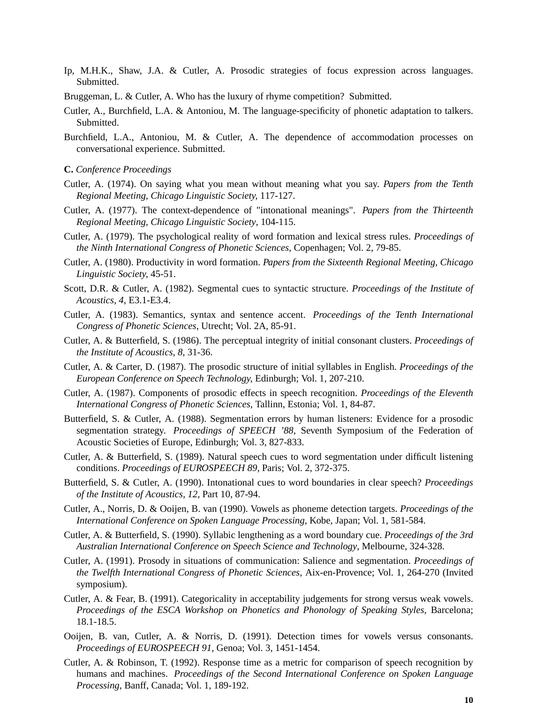- Ip, M.H.K., Shaw, J.A. & Cutler, A. Prosodic strategies of focus expression across languages. Submitted.
- Bruggeman, L. & Cutler, A. Who has the luxury of rhyme competition? Submitted.
- Cutler, A., Burchfield, L.A. & Antoniou, M. The language-specificity of phonetic adaptation to talkers. Submitted.
- Burchfield, L.A., Antoniou, M. & Cutler, A. The dependence of accommodation processes on conversational experience. Submitted.
- **C.** *Conference Proceedings*
- Cutler, A. (1974). On saying what you mean without meaning what you say. *Papers from the Tenth Regional Meeting, Chicago Linguistic Society,* 117-127.
- Cutler, A. (1977). The context-dependence of "intonational meanings". *Papers from the Thirteenth Regional Meeting, Chicago Linguistic Society*, 104-115.
- Cutler, A. (1979). The psychological reality of word formation and lexical stress rules. *Proceedings of the Ninth International Congress of Phonetic Sciences*, Copenhagen; Vol. 2, 79-85.
- Cutler, A. (1980). Productivity in word formation. *Papers from the Sixteenth Regional Meeting, Chicago Linguistic Society,* 45-51.
- Scott, D.R. & Cutler, A. (1982). Segmental cues to syntactic structure. *Proceedings of the Institute of Acoustics, 4*, E3.1-E3.4.
- Cutler, A. (1983). Semantics, syntax and sentence accent. *Proceedings of the Tenth International Congress of Phonetic Sciences*, Utrecht; Vol. 2A, 85-91.
- Cutler, A. & Butterfield, S. (1986). The perceptual integrity of initial consonant clusters. *Proceedings of the Institute of Acoustics, 8,* 31-36.
- Cutler, A. & Carter, D. (1987). The prosodic structure of initial syllables in English. *Proceedings of the European Conference on Speech Technology,* Edinburgh; Vol. 1, 207-210.
- Cutler, A. (1987). Components of prosodic effects in speech recognition. *Proceedings of the Eleventh International Congress of Phonetic Sciences*, Tallinn, Estonia; Vol. 1, 84-87.
- Butterfield, S. & Cutler, A. (1988). Segmentation errors by human listeners: Evidence for a prosodic segmentation strategy. *Proceedings of SPEECH '88*, Seventh Symposium of the Federation of Acoustic Societies of Europe, Edinburgh; Vol. 3, 827-833.
- Cutler, A. & Butterfield, S. (1989). Natural speech cues to word segmentation under difficult listening conditions. *Proceedings of EUROSPEECH 89*, Paris; Vol. 2, 372-375.
- Butterfield, S. & Cutler, A. (1990). Intonational cues to word boundaries in clear speech? *Proceedings of the Institute of Acoustics, 12,* Part 10, 87-94.
- Cutler, A., Norris, D. & Ooijen, B. van (1990). Vowels as phoneme detection targets. *Proceedings of the International Conference on Spoken Language Processing*, Kobe, Japan; Vol. 1, 581-584.
- Cutler, A. & Butterfield, S. (1990). Syllabic lengthening as a word boundary cue. *Proceedings of the 3rd Australian International Conference on Speech Science and Technology*, Melbourne, 324-328.
- Cutler, A. (1991). Prosody in situations of communication: Salience and segmentation. *Proceedings of the Twelfth International Congress of Phonetic Sciences*, Aix-en-Provence; Vol. 1, 264-270 (Invited symposium).
- Cutler, A. & Fear, B. (1991). Categoricality in acceptability judgements for strong versus weak vowels. *Proceedings of the ESCA Workshop on Phonetics and Phonology of Speaking Styles*, Barcelona; 18.1-18.5.
- Ooijen, B. van, Cutler, A. & Norris, D. (1991). Detection times for vowels versus consonants. *Proceedings of EUROSPEECH 91*, Genoa; Vol. 3, 1451-1454.
- Cutler, A. & Robinson, T. (1992). Response time as a metric for comparison of speech recognition by humans and machines. *Proceedings of the Second International Conference on Spoken Language Processing*, Banff, Canada; Vol. 1, 189-192.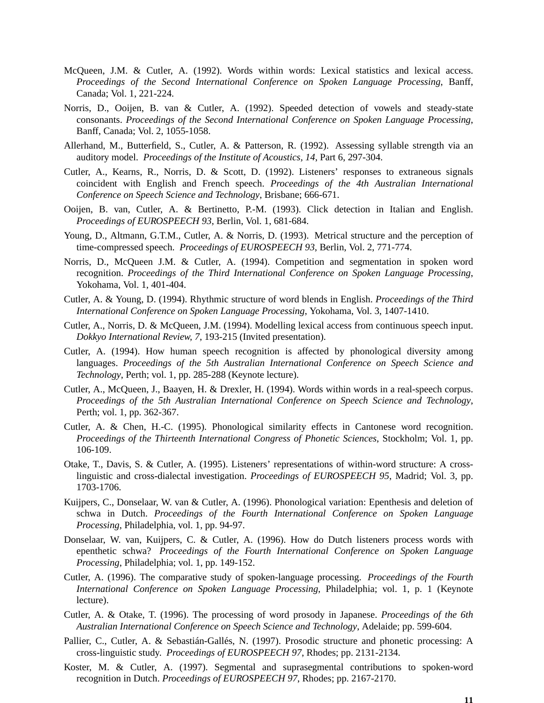- McQueen, J.M. & Cutler, A. (1992). Words within words: Lexical statistics and lexical access. *Proceedings of the Second International Conference on Spoken Language Processing*, Banff, Canada; Vol. 1, 221-224.
- Norris, D., Ooijen, B. van & Cutler, A. (1992). Speeded detection of vowels and steady-state consonants. *Proceedings of the Second International Conference on Spoken Language Processing*, Banff, Canada; Vol. 2, 1055-1058.
- Allerhand, M., Butterfield, S., Cutler, A. & Patterson, R. (1992). Assessing syllable strength via an auditory model. *Proceedings of the Institute of Acoustics, 14*, Part 6, 297-304.
- Cutler, A., Kearns, R., Norris, D. & Scott, D. (1992). Listeners' responses to extraneous signals coincident with English and French speech. *Proceedings of the 4th Australian International Conference on Speech Science and Technology*, Brisbane; 666-671.
- Ooijen, B. van, Cutler, A. & Bertinetto, P.-M. (1993). Click detection in Italian and English. *Proceedings of EUROSPEECH 93*, Berlin, Vol. 1, 681-684.
- Young, D., Altmann, G.T.M., Cutler, A. & Norris, D. (1993). Metrical structure and the perception of time-compressed speech. *Proceedings of EUROSPEECH 93*, Berlin, Vol. 2, 771-774.
- Norris, D., McQueen J.M. & Cutler, A. (1994). Competition and segmentation in spoken word recognition. *Proceedings of the Third International Conference on Spoken Language Processing*, Yokohama, Vol. 1, 401-404.
- Cutler, A. & Young, D. (1994). Rhythmic structure of word blends in English. *Proceedings of the Third International Conference on Spoken Language Processing*, Yokohama, Vol. 3, 1407-1410.
- Cutler, A., Norris, D. & McQueen, J.M. (1994). Modelling lexical access from continuous speech input. *Dokkyo International Review, 7*, 193-215 (Invited presentation).
- Cutler, A. (1994). How human speech recognition is affected by phonological diversity among languages. *Proceedings of the 5th Australian International Conference on Speech Science and Technology*, Perth; vol. 1, pp. 285-288 (Keynote lecture).
- Cutler, A., McQueen, J., Baayen, H. & Drexler, H. (1994). Words within words in a real-speech corpus. *Proceedings of the 5th Australian International Conference on Speech Science and Technology*, Perth; vol. 1, pp. 362-367.
- Cutler, A. & Chen, H.-C. (1995). Phonological similarity effects in Cantonese word recognition. *Proceedings of the Thirteenth International Congress of Phonetic Sciences*, Stockholm; Vol. 1, pp. 106-109.
- Otake, T., Davis, S. & Cutler, A. (1995). Listeners' representations of within-word structure: A crosslinguistic and cross-dialectal investigation. *Proceedings of EUROSPEECH 95*, Madrid; Vol. 3, pp. 1703-1706.
- Kuijpers, C., Donselaar, W. van & Cutler, A. (1996). Phonological variation: Epenthesis and deletion of schwa in Dutch. *Proceedings of the Fourth International Conference on Spoken Language Processing*, Philadelphia, vol. 1, pp. 94-97.
- Donselaar, W. van, Kuijpers, C. & Cutler, A. (1996). How do Dutch listeners process words with epenthetic schwa? *Proceedings of the Fourth International Conference on Spoken Language Processing*, Philadelphia; vol. 1, pp. 149-152.
- Cutler, A. (1996). The comparative study of spoken-language processing. *Proceedings of the Fourth International Conference on Spoken Language Processing*, Philadelphia; vol. 1, p. 1 (Keynote lecture).
- Cutler, A. & Otake, T. (1996). The processing of word prosody in Japanese. *Proceedings of the 6th Australian International Conference on Speech Science and Technology*, Adelaide; pp. 599-604.
- Pallier, C., Cutler, A. & Sebastián-Gallés, N. (1997). Prosodic structure and phonetic processing: A cross-linguistic study. *Proceedings of EUROSPEECH 97*, Rhodes; pp. 2131-2134.
- Koster, M. & Cutler, A. (1997). Segmental and suprasegmental contributions to spoken-word recognition in Dutch. *Proceedings of EUROSPEECH 97*, Rhodes; pp. 2167-2170.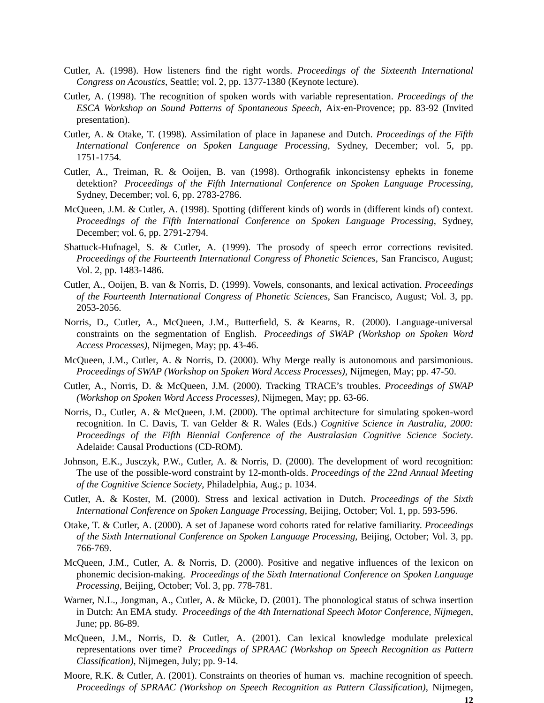- Cutler, A. (1998). How listeners find the right words. *Proceedings of the Sixteenth International Congress on Acoustics*, Seattle; vol. 2, pp. 1377-1380 (Keynote lecture).
- Cutler, A. (1998). The recognition of spoken words with variable representation. *Proceedings of the ESCA Workshop on Sound Patterns of Spontaneous Speech*, Aix-en-Provence; pp. 83-92 (Invited presentation).
- Cutler, A. & Otake, T. (1998). Assimilation of place in Japanese and Dutch. *Proceedings of the Fifth International Conference on Spoken Language Processing*, Sydney, December; vol. 5, pp. 1751-1754.
- Cutler, A., Treiman, R. & Ooijen, B. van (1998). Orthografik inkoncistensy ephekts in foneme detektion? *Proceedings of the Fifth International Conference on Spoken Language Processing*, Sydney, December; vol. 6, pp. 2783-2786.
- McQueen, J.M. & Cutler, A. (1998). Spotting (different kinds of) words in (different kinds of) context. *Proceedings of the Fifth International Conference on Spoken Language Processing*, Sydney, December; vol. 6, pp. 2791-2794.
- Shattuck-Hufnagel, S. & Cutler, A. (1999). The prosody of speech error corrections revisited. *Proceedings of the Fourteenth International Congress of Phonetic Sciences*, San Francisco, August; Vol. 2, pp. 1483-1486.
- Cutler, A., Ooijen, B. van & Norris, D. (1999). Vowels, consonants, and lexical activation. *Proceedings of the Fourteenth International Congress of Phonetic Sciences*, San Francisco, August; Vol. 3, pp. 2053-2056.
- Norris, D., Cutler, A., McQueen, J.M., Butterfield, S. & Kearns, R. (2000). Language-universal constraints on the segmentation of English. *Proceedings of SWAP (Workshop on Spoken Word Access Processes)*, Nijmegen, May; pp. 43-46.
- McQueen, J.M., Cutler, A. & Norris, D. (2000). Why Merge really is autonomous and parsimonious. *Proceedings of SWAP (Workshop on Spoken Word Access Processes)*, Nijmegen, May; pp. 47-50.
- Cutler, A., Norris, D. & McQueen, J.M. (2000). Tracking TRACE's troubles. *Proceedings of SWAP (Workshop on Spoken Word Access Processes)*, Nijmegen, May; pp. 63-66.
- Norris, D., Cutler, A. & McQueen, J.M. (2000). The optimal architecture for simulating spoken-word recognition. In C. Davis, T. van Gelder & R. Wales (Eds.) *Cognitive Science in Australia, 2000: Proceedings of the Fifth Biennial Conference of the Australasian Cognitive Science Society*. Adelaide: Causal Productions (CD-ROM).
- Johnson, E.K., Jusczyk, P.W., Cutler, A. & Norris, D. (2000). The development of word recognition: The use of the possible-word constraint by 12-month-olds. *Proceedings of the 22nd Annual Meeting of the Cognitive Science Society*, Philadelphia, Aug.; p. 1034.
- Cutler, A. & Koster, M. (2000). Stress and lexical activation in Dutch. *Proceedings of the Sixth International Conference on Spoken Language Processing*, Beijing, October; Vol. 1, pp. 593-596.
- Otake, T. & Cutler, A. (2000). A set of Japanese word cohorts rated for relative familiarity. *Proceedings of the Sixth International Conference on Spoken Language Processing*, Beijing, October; Vol. 3, pp. 766-769.
- McQueen, J.M., Cutler, A. & Norris, D. (2000). Positive and negative influences of the lexicon on phonemic decision-making. *Proceedings of the Sixth International Conference on Spoken Language Processing*, Beijing, October; Vol. 3, pp. 778-781.
- Warner, N.L., Jongman, A., Cutler, A. & Mücke, D. (2001). The phonological status of schwa insertion in Dutch: An EMA study. *Proceedings of the 4th International Speech Motor Conference, Nijmegen*, June; pp. 86-89.
- McQueen, J.M., Norris, D. & Cutler, A. (2001). Can lexical knowledge modulate prelexical representations over time? *Proceedings of SPRAAC (Workshop on Speech Recognition as Pattern Classification)*, Nijmegen, July; pp. 9-14.
- Moore, R.K. & Cutler, A. (2001). Constraints on theories of human vs. machine recognition of speech. *Proceedings of SPRAAC (Workshop on Speech Recognition as Pattern Classification)*, Nijmegen,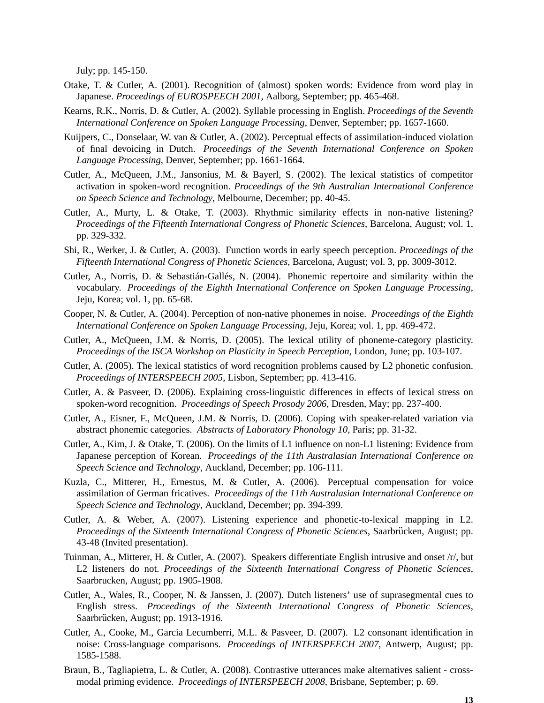July; pp. 145-150.

- Otake, T. & Cutler, A. (2001). Recognition of (almost) spoken words: Evidence from word play in Japanese. *Proceedings of EUROSPEECH 2001*, Aalborg, September; pp. 465-468.
- Kearns, R.K., Norris, D. & Cutler, A. (2002). Syllable processing in English. *Proceedings of the Seventh International Conference on Spoken Language Processing*, Denver, September; pp. 1657-1660.
- Kuijpers, C., Donselaar, W. van & Cutler, A. (2002). Perceptual effects of assimilation-induced violation of final devoicing in Dutch. *Proceedings of the Seventh International Conference on Spoken Language Processing*, Denver, September; pp. 1661-1664.
- Cutler, A., McQueen, J.M., Jansonius, M. & Bayerl, S. (2002). The lexical statistics of competitor activation in spoken-word recognition. *Proceedings of the 9th Australian International Conference on Speech Science and Technology*, Melbourne, December; pp. 40-45.
- Cutler, A., Murty, L. & Otake, T. (2003). Rhythmic similarity effects in non-native listening? *Proceedings of the Fifteenth International Congress of Phonetic Sciences*, Barcelona, August; vol. 1, pp. 329-332.
- Shi, R., Werker, J. & Cutler, A. (2003). Function words in early speech perception. *Proceedings of the Fifteenth International Congress of Phonetic Sciences*, Barcelona, August; vol. 3, pp. 3009-3012.
- Cutler, A., Norris, D. & Sebastián-Gallés, N. (2004). Phonemic repertoire and similarity within the vocabulary. *Proceedings of the Eighth International Conference on Spoken Language Processing*, Jeju, Korea; vol. 1, pp. 65-68.
- Cooper, N. & Cutler, A. (2004). Perception of non-native phonemes in noise. *Proceedings of the Eighth International Conference on Spoken Language Processing*, Jeju, Korea; vol. 1, pp. 469-472.
- Cutler, A., McQueen, J.M. & Norris, D. (2005). The lexical utility of phoneme-category plasticity. *Proceedings of the ISCA Workshop on Plasticity in Speech Perception*, London, June; pp. 103-107.
- Cutler, A. (2005). The lexical statistics of word recognition problems caused by L2 phonetic confusion. *Proceedings of INTERSPEECH 2005*, Lisbon, September; pp. 413-416.
- Cutler, A. & Pasveer, D. (2006). Explaining cross-linguistic differences in effects of lexical stress on spoken-word recognition. *Proceedings of Speech Prosody 2006*, Dresden, May; pp. 237-400.
- Cutler, A., Eisner, F., McQueen, J.M. & Norris, D. (2006). Coping with speaker-related variation via abstract phonemic categories. *Abstracts of Laboratory Phonology 10*, Paris; pp. 31-32.
- Cutler, A., Kim, J. & Otake, T. (2006). On the limits of L1 influence on non-L1 listening: Evidence from Japanese perception of Korean. *Proceedings of the 11th Australasian International Conference on Speech Science and Technology*, Auckland, December; pp. 106-111.
- Kuzla, C., Mitterer, H., Ernestus, M. & Cutler, A. (2006). Perceptual compensation for voice assimilation of German fricatives. *Proceedings of the 11th Australasian International Conference on Speech Science and Technology*, Auckland, December; pp. 394-399.
- Cutler, A. & Weber, A. (2007). Listening experience and phonetic-to-lexical mapping in L2. *Proceedings of the Sixteenth International Congress of Phonetic Sciences*, Saarbrücken, August; pp. 43-48 (Invited presentation).
- Tuinman, A., Mitterer, H. & Cutler, A. (2007). Speakers differentiate English intrusive and onset /r/, but L2 listeners do not. *Proceedings of the Sixteenth International Congress of Phonetic Sciences*, Saarbrucken, August; pp. 1905-1908.
- Cutler, A., Wales, R., Cooper, N. & Janssen, J. (2007). Dutch listeners' use of suprasegmental cues to English stress. *Proceedings of the Sixteenth International Congress of Phonetic Sciences*, Saarbrücken, August; pp. 1913-1916.
- Cutler, A., Cooke, M., Garcia Lecumberri, M.L. & Pasveer, D. (2007). L2 consonant identification in noise: Cross-language comparisons. *Proceedings of INTERSPEECH 2007*, Antwerp, August; pp. 1585-1588.
- Braun, B., Tagliapietra, L. & Cutler, A. (2008). Contrastive utterances make alternatives salient crossmodal priming evidence. *Proceedings of INTERSPEECH 2008*, Brisbane, September; p. 69.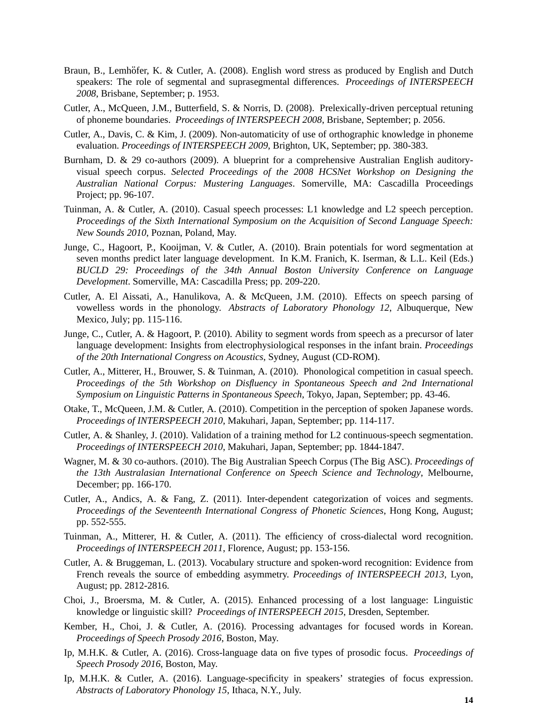- Braun, B., Lemhöfer, K. & Cutler, A. (2008). English word stress as produced by English and Dutch speakers: The role of segmental and suprasegmental differences. *Proceedings of INTERSPEECH 2008*, Brisbane, September; p. 1953.
- Cutler, A., McQueen, J.M., Butterfield, S. & Norris, D. (2008). Prelexically-driven perceptual retuning of phoneme boundaries. *Proceedings of INTERSPEECH 2008*, Brisbane, September; p. 2056.
- Cutler, A., Davis, C. & Kim, J. (2009). Non-automaticity of use of orthographic knowledge in phoneme evaluation. *Proceedings of INTERSPEECH 2009*, Brighton, UK, September; pp. 380-383.
- Burnham, D. & 29 co-authors (2009). A blueprint for a comprehensive Australian English auditoryvisual speech corpus. *Selected Proceedings of the 2008 HCSNet Workshop on Designing the Australian National Corpus: Mustering Languages*. Somerville, MA: Cascadilla Proceedings Project; pp. 96-107.
- Tuinman, A. & Cutler, A. (2010). Casual speech processes: L1 knowledge and L2 speech perception. *Proceedings of the Sixth International Symposium on the Acquisition of Second Language Speech: New Sounds 2010*, Poznan, Poland, May.
- Junge, C., Hagoort, P., Kooijman, V. & Cutler, A. (2010). Brain potentials for word segmentation at seven months predict later language development. In K.M. Franich, K. Iserman, & L.L. Keil (Eds.) *BUCLD 29: Proceedings of the 34th Annual Boston University Conference on Language Development*. Somerville, MA: Cascadilla Press; pp. 209-220.
- Cutler, A. El Aissati, A., Hanulikova, A. & McQueen, J.M. (2010). Effects on speech parsing of vowelless words in the phonology. *Abstracts of Laboratory Phonology 12*, Albuquerque, New Mexico, July; pp. 115-116.
- Junge, C., Cutler, A. & Hagoort, P. (2010). Ability to segment words from speech as a precursor of later language development: Insights from electrophysiological responses in the infant brain. *Proceedings of the 20th International Congress on Acoustics*, Sydney, August (CD-ROM).
- Cutler, A., Mitterer, H., Brouwer, S. & Tuinman, A. (2010). Phonological competition in casual speech. *Proceedings of the 5th Workshop on Disfluency in Spontaneous Speech and 2nd International Symposium on Linguistic Patterns in Spontaneous Speech*, Tokyo, Japan, September; pp. 43-46.
- Otake, T., McQueen, J.M. & Cutler, A. (2010). Competition in the perception of spoken Japanese words. *Proceedings of INTERSPEECH 2010*, Makuhari, Japan, September; pp. 114-117.
- Cutler, A. & Shanley, J. (2010). Validation of a training method for L2 continuous-speech segmentation. *Proceedings of INTERSPEECH 2010*, Makuhari, Japan, September; pp. 1844-1847.
- Wagner, M. & 30 co-authors. (2010). The Big Australian Speech Corpus (The Big ASC). *Proceedings of the 13th Australasian International Conference on Speech Science and Technology*, Melbourne, December; pp. 166-170.
- Cutler, A., Andics, A. & Fang, Z. (2011). Inter-dependent categorization of voices and segments. *Proceedings of the Seventeenth International Congress of Phonetic Sciences*, Hong Kong, August; pp. 552-555.
- Tuinman, A., Mitterer, H. & Cutler, A. (2011). The efficiency of cross-dialectal word recognition. *Proceedings of INTERSPEECH 2011*, Florence, August; pp. 153-156.
- Cutler, A. & Bruggeman, L. (2013). Vocabulary structure and spoken-word recognition: Evidence from French reveals the source of embedding asymmetry. *Proceedings of INTERSPEECH 2013*, Lyon, August; pp. 2812-2816.
- Choi, J., Broersma, M. & Cutler, A. (2015). Enhanced processing of a lost language: Linguistic knowledge or linguistic skill? *Proceedings of INTERSPEECH 2015*, Dresden, September.
- Kember, H., Choi, J. & Cutler, A. (2016). Processing advantages for focused words in Korean. *Proceedings of Speech Prosody 2016*, Boston, May.
- Ip, M.H.K. & Cutler, A. (2016). Cross-language data on five types of prosodic focus. *Proceedings of Speech Prosody 2016*, Boston, May.
- Ip, M.H.K. & Cutler, A. (2016). Language-specificity in speakers' strategies of focus expression. *Abstracts of Laboratory Phonology 15*, Ithaca, N.Y., July.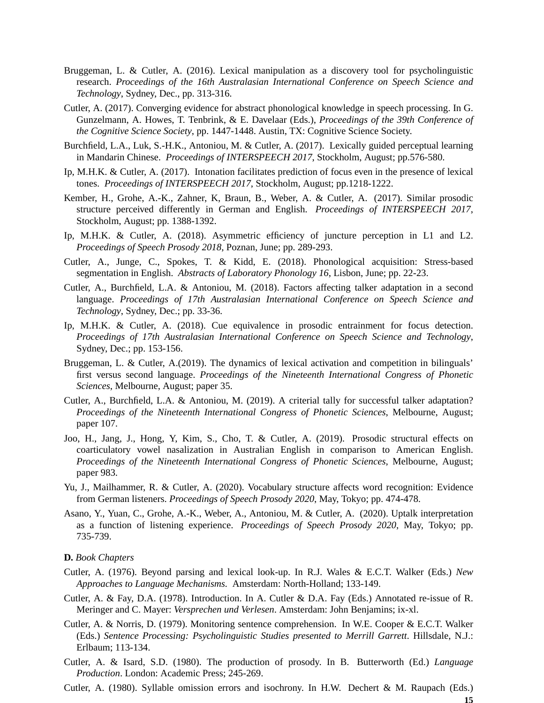- Bruggeman, L. & Cutler, A. (2016). Lexical manipulation as a discovery tool for psycholinguistic research. *Proceedings of the 16th Australasian International Conference on Speech Science and Technology*, Sydney, Dec., pp. 313-316.
- Cutler, A. (2017). Converging evidence for abstract phonological knowledge in speech processing. In G. Gunzelmann, A. Howes, T. Tenbrink, & E. Davelaar (Eds.), *Proceedings of the 39th Conference of the Cognitive Science Society*, pp. 1447-1448. Austin, TX: Cognitive Science Society.
- Burchfield, L.A., Luk, S.-H.K., Antoniou, M. & Cutler, A. (2017). Lexically guided perceptual learning in Mandarin Chinese. *Proceedings of INTERSPEECH 2017*, Stockholm, August; pp.576-580.
- Ip, M.H.K. & Cutler, A. (2017). Intonation facilitates prediction of focus even in the presence of lexical tones. *Proceedings of INTERSPEECH 2017*, Stockholm, August; pp.1218-1222.
- Kember, H., Grohe, A.-K., Zahner, K, Braun, B., Weber, A. & Cutler, A. (2017). Similar prosodic structure perceived differently in German and English. *Proceedings of INTERSPEECH 2017*, Stockholm, August; pp. 1388-1392.
- Ip, M.H.K. & Cutler, A. (2018). Asymmetric efficiency of juncture perception in L1 and L2. *Proceedings of Speech Prosody 2018*, Poznan, June; pp. 289-293.
- Cutler, A., Junge, C., Spokes, T. & Kidd, E. (2018). Phonological acquisition: Stress-based segmentation in English. *Abstracts of Laboratory Phonology 16*, Lisbon, June; pp. 22-23.
- Cutler, A., Burchfield, L.A. & Antoniou, M. (2018). Factors affecting talker adaptation in a second language. *Proceedings of 17th Australasian International Conference on Speech Science and Technology*, Sydney, Dec.; pp. 33-36.
- Ip, M.H.K. & Cutler, A. (2018). Cue equivalence in prosodic entrainment for focus detection. *Proceedings of 17th Australasian International Conference on Speech Science and Technology*, Sydney, Dec.; pp. 153-156.
- Bruggeman, L. & Cutler, A.(2019). The dynamics of lexical activation and competition in bilinguals' first versus second language. *Proceedings of the Nineteenth International Congress of Phonetic Sciences*, Melbourne, August; paper 35.
- Cutler, A., Burchfield, L.A. & Antoniou, M. (2019). A criterial tally for successful talker adaptation? *Proceedings of the Nineteenth International Congress of Phonetic Sciences*, Melbourne, August; paper 107.
- Joo, H., Jang, J., Hong, Y, Kim, S., Cho, T. & Cutler, A. (2019). Prosodic structural effects on coarticulatory vowel nasalization in Australian English in comparison to American English. *Proceedings of the Nineteenth International Congress of Phonetic Sciences*, Melbourne, August; paper 983.
- Yu, J., Mailhammer, R. & Cutler, A. (2020). Vocabulary structure affects word recognition: Evidence from German listeners. *Proceedings of Speech Prosody 2020*, May, Tokyo; pp. 474-478.
- Asano, Y., Yuan, C., Grohe, A.-K., Weber, A., Antoniou, M. & Cutler, A. (2020). Uptalk interpretation as a function of listening experience. *Proceedings of Speech Prosody 2020*, May, Tokyo; pp. 735-739.

#### **D.** *Book Chapters*

- Cutler, A. (1976). Beyond parsing and lexical look-up. In R.J. Wales & E.C.T. Walker (Eds.) *New Approaches to Language Mechanisms.* Amsterdam: North-Holland; 133-149.
- Cutler, A. & Fay, D.A. (1978). Introduction. In A. Cutler & D.A. Fay (Eds.) Annotated re-issue of R. Meringer and C. Mayer: *Versprechen und Verlesen*. Amsterdam: John Benjamins; ix-xl.
- Cutler, A. & Norris, D. (1979). Monitoring sentence comprehension. In W.E. Cooper & E.C.T. Walker (Eds.) *Sentence Processing: Psycholinguistic Studies presented to Merrill Garrett*. Hillsdale, N.J.: Erlbaum; 113-134.
- Cutler, A. & Isard, S.D. (1980). The production of prosody. In B. Butterworth (Ed.) *Language Production*. London: Academic Press; 245-269.
- Cutler, A. (1980). Syllable omission errors and isochrony. In H.W. Dechert & M. Raupach (Eds.)

**15**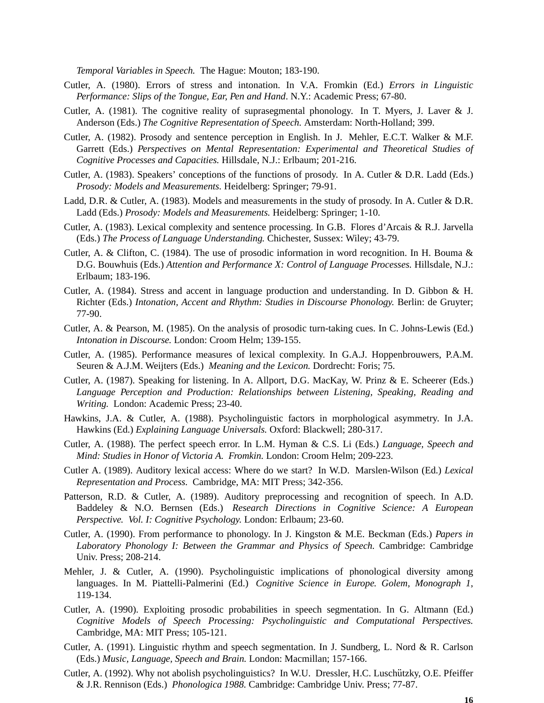*Temporal Variables in Speech.* The Hague: Mouton; 183-190.

- Cutler, A. (1980). Errors of stress and intonation. In V.A. Fromkin (Ed.) *Errors in Linguistic Performance: Slips of the Tongue, Ear, Pen and Hand*. N.Y.: Academic Press; 67-80.
- Cutler, A. (1981). The cognitive reality of suprasegmental phonology. In T. Myers, J. Laver & J. Anderson (Eds.) *The Cognitive Representation of Speech.* Amsterdam: North-Holland; 399.
- Cutler, A. (1982). Prosody and sentence perception in English. In J. Mehler, E.C.T. Walker & M.F. Garrett (Eds.) *Perspectives on Mental Representation: Experimental and Theoretical Studies of Cognitive Processes and Capacities.* Hillsdale, N.J.: Erlbaum; 201-216.
- Cutler, A. (1983). Speakers' conceptions of the functions of prosody. In A. Cutler & D.R. Ladd (Eds.) *Prosody: Models and Measurements.* Heidelberg: Springer; 79-91.
- Ladd, D.R. & Cutler, A. (1983). Models and measurements in the study of prosody. In A. Cutler & D.R. Ladd (Eds.) *Prosody: Models and Measurements.* Heidelberg: Springer; 1-10.
- Cutler, A. (1983). Lexical complexity and sentence processing. In G.B. Flores d'Arcais & R.J. Jarvella (Eds.) *The Process of Language Understanding.* Chichester, Sussex: Wiley; 43-79.
- Cutler, A. & Clifton, C. (1984). The use of prosodic information in word recognition. In H. Bouma & D.G. Bouwhuis (Eds.) *Attention and Performance X: Control of Language Processes.* Hillsdale, N.J.: Erlbaum; 183-196.
- Cutler, A. (1984). Stress and accent in language production and understanding. In D. Gibbon & H. Richter (Eds.) *Intonation, Accent and Rhythm: Studies in Discourse Phonology.* Berlin: de Gruyter; 77-90.
- Cutler, A. & Pearson, M. (1985). On the analysis of prosodic turn-taking cues. In C. Johns-Lewis (Ed.) *Intonation in Discourse.* London: Croom Helm; 139-155.
- Cutler, A. (1985). Performance measures of lexical complexity. In G.A.J. Hoppenbrouwers, P.A.M. Seuren & A.J.M. Weijters (Eds.) *Meaning and the Lexicon.* Dordrecht: Foris; 75.
- Cutler, A. (1987). Speaking for listening. In A. Allport, D.G. MacKay, W. Prinz & E. Scheerer (Eds.) *Language Perception and Production: Relationships between Listening, Speaking, Reading and Writing.* London: Academic Press; 23-40.
- Hawkins, J.A. & Cutler, A. (1988). Psycholinguistic factors in morphological asymmetry. In J.A. Hawkins (Ed.) *Explaining Language Universals.* Oxford: Blackwell; 280-317.
- Cutler, A. (1988). The perfect speech error. In L.M. Hyman & C.S. Li (Eds.) *Language, Speech and Mind: Studies in Honor of Victoria A. Fr omkin.* London: Croom Helm; 209-223.
- Cutler A. (1989). Auditory lexical access: Where do we start? In W.D. Marslen-Wilson (Ed.) *Lexical Representation and Process.* Cambridge, MA: MIT Press; 342-356.
- Patterson, R.D. & Cutler, A. (1989). Auditory preprocessing and recognition of speech. In A.D. Baddeley & N.O. Bernsen (Eds.) *Research Directions in Cognitive Science: A European Perspective. Vol. I: Cognitive Psychology.* London: Erlbaum; 23-60.
- Cutler, A. (1990). From performance to phonology. In J. Kingston & M.E. Beckman (Eds.) *Papers in Laboratory Phonology I: Between the Grammar and Physics of Speech.* Cambridge: Cambridge Univ. Press; 208-214.
- Mehler, J. & Cutler, A. (1990). Psycholinguistic implications of phonological diversity among languages. In M. Piattelli-Palmerini (Ed.) *Cognitive Science in Europe. Golem, Monograph 1*, 119-134.
- Cutler, A. (1990). Exploiting prosodic probabilities in speech segmentation. In G. Altmann (Ed.) *Cognitive Models of Speech Processing: Psycholinguistic and Computational Perspectives.* Cambridge, MA: MIT Press; 105-121.
- Cutler, A. (1991). Linguistic rhythm and speech segmentation. In J. Sundberg, L. Nord & R. Carlson (Eds.) *Music, Language, Speech and Brain.* London: Macmillan; 157-166.
- Cutler, A. (1992). Why not abolish psycholinguistics? In W.U. Dressler, H.C. Luschützky, O.E. Pfeiffer & J.R. Rennison (Eds.) *Phonologica 1988.* Cambridge: Cambridge Univ. Press; 77-87.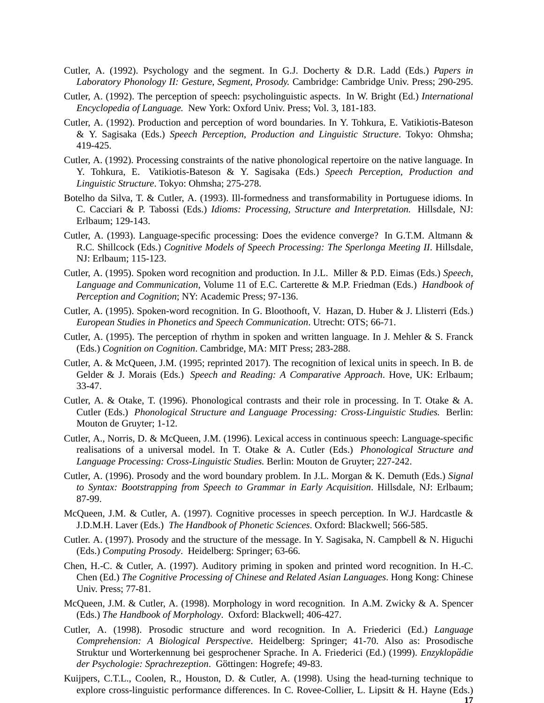- Cutler, A. (1992). Psychology and the segment. In G.J. Docherty & D.R. Ladd (Eds.) *Papers in Laboratory Phonology II: Gesture, Segment, Prosody.* Cambridge: Cambridge Univ. Press; 290-295.
- Cutler, A. (1992). The perception of speech: psycholinguistic aspects. In W. Bright (Ed.) *International Encyclopedia of Language.* New York: Oxford Univ. Press; Vol. 3, 181-183.
- Cutler, A. (1992). Production and perception of word boundaries. In Y. Tohkura, E. Vatikiotis-Bateson & Y. Sagisaka (Eds.) *Speech Perception, Production and Linguistic Structure*. Tokyo: Ohmsha; 419-425.
- Cutler, A. (1992). Processing constraints of the native phonological repertoire on the native language. In Y. Tohkura, E. Vatikiotis-Bateson & Y. Sagisaka (Eds.) *Speech Perception, Production and Linguistic Structure*. Tokyo: Ohmsha; 275-278.
- Botelho da Silva, T. & Cutler, A. (1993). Ill-formedness and transformability in Portuguese idioms. In C. Cacciari & P. Tabossi (Eds.) *Idioms: Processing, Structure and Interpretation.* Hillsdale, NJ: Erlbaum; 129-143.
- Cutler, A. (1993). Language-specific processing: Does the evidence converge? In G.T.M. Altmann & R.C. Shillcock (Eds.) *Cognitive Models of Speech Processing: The Sperlonga Meeting II*. Hillsdale, NJ: Erlbaum; 115-123.
- Cutler, A. (1995). Spoken word recognition and production. In J.L. Miller & P.D. Eimas (Eds.) *Speech, Language and Communication*, Volume 11 of E.C. Carterette & M.P. Friedman (Eds.) *Handbook of Perception and Cognition*; NY: Academic Press; 97-136.
- Cutler, A. (1995). Spoken-word recognition. In G. Bloothooft, V. Hazan, D. Huber & J. Llisterri (Eds.) *European Studies in Phonetics and Speech Communication*. Utrecht: OTS; 66-71.
- Cutler, A. (1995). The perception of rhythm in spoken and written language. In J. Mehler & S. Franck (Eds.) *Cognition on Cognition*. Cambridge, MA: MIT Press; 283-288.
- Cutler, A. & McQueen, J.M. (1995; reprinted 2017). The recognition of lexical units in speech. In B. de Gelder & J. Morais (Eds.) *Speech and Reading: A Comparative Approach*. Hove, UK: Erlbaum; 33-47.
- Cutler, A. & Otake, T. (1996). Phonological contrasts and their role in processing. In T. Otake & A. Cutler (Eds.) *Phonological Structure and Language Processing: Cross-Linguistic Studies.* Berlin: Mouton de Gruyter; 1-12.
- Cutler, A., Norris, D. & McQueen, J.M. (1996). Lexical access in continuous speech: Language-specific realisations of a universal model. In T. Otake & A. Cutler (Eds.) *Phonological Structure and Language Processing: Cross-Linguistic Studies.* Berlin: Mouton de Gruyter; 227-242.
- Cutler, A. (1996). Prosody and the word boundary problem. In J.L. Morgan & K. Demuth (Eds.) *Signal to Syntax: Bootstrapping from Speech to Grammar in Early Acquisition*. Hillsdale, NJ: Erlbaum; 87-99.
- McQueen, J.M. & Cutler, A. (1997). Cognitive processes in speech perception. In W.J. Hardcastle & J.D.M.H. Laver (Eds.) *The Handbook of Phonetic Sciences*. Oxford: Blackwell; 566-585.
- Cutler. A. (1997). Prosody and the structure of the message. In Y. Sagisaka, N. Campbell & N. Higuchi (Eds.) *Computing Prosody*. Heidelberg: Springer; 63-66.
- Chen, H.-C. & Cutler, A. (1997). Auditory priming in spoken and printed word recognition. In H.-C. Chen (Ed.) *The Cognitive Processing of Chinese and Related Asian Languages*. Hong Kong: Chinese Univ. Press; 77-81.
- McQueen, J.M. & Cutler, A. (1998). Morphology in word recognition. In A.M. Zwicky & A. Spencer (Eds.) *The Handbook of Morphology*. Oxford: Blackwell; 406-427.
- Cutler, A. (1998). Prosodic structure and word recognition. In A. Friederici (Ed.) *Language Comprehension: A Biological Perspective*. Heidelberg: Springer; 41-70. Also as: Prosodische Struktur und Worterkennung bei gesprochener Sprache. In A. Friederici (Ed.) (1999). *Enzyklopädie* der Psychologie: Sprachrezeption. Göttingen: Hogrefe; 49-83.
- Kuijpers, C.T.L., Coolen, R., Houston, D. & Cutler, A. (1998). Using the head-turning technique to explore cross-linguistic performance differences. In C. Rovee-Collier, L. Lipsitt & H. Hayne (Eds.)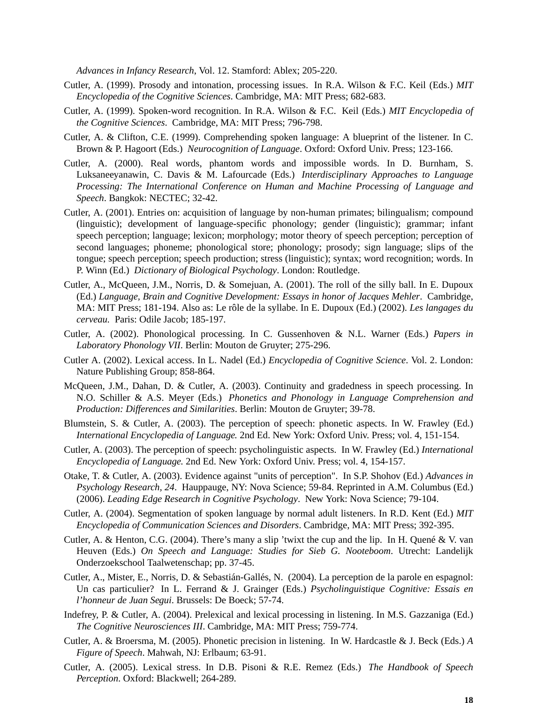*Advances in Infancy Research*, Vol. 12. Stamford: Ablex; 205-220.

- Cutler, A. (1999). Prosody and intonation, processing issues. In R.A. Wilson & F.C. Keil (Eds.) *MIT Encyclopedia of the Cognitive Sciences*. Cambridge, MA: MIT Press; 682-683.
- Cutler, A. (1999). Spoken-word recognition. In R.A. Wilson & F.C. Keil (Eds.) *MIT Encyclopedia of the Cognitive Sciences*. Cambridge, MA: MIT Press; 796-798.
- Cutler, A. & Clifton, C.E. (1999). Comprehending spoken language: A blueprint of the listener. In C. Brown & P. Hagoort (Eds.) *Neurocognition of Language*. Oxford: Oxford Univ. Press; 123-166.
- Cutler, A. (2000). Real words, phantom words and impossible words. In D. Burnham, S. Luksaneeyanawin, C. Davis & M. Lafourcade (Eds.) *Interdisciplinary Approaches to Language Processing: The International Conference on Human and Machine Processing of Language and Speech*. Bangkok: NECTEC; 32-42.
- Cutler, A. (2001). Entries on: acquisition of language by non-human primates; bilingualism; compound (linguistic); development of language-specific phonology; gender (linguistic); grammar; infant speech perception; language; lexicon; morphology; motor theory of speech perception; perception of second languages; phoneme; phonological store; phonology; prosody; sign language; slips of the tongue; speech perception; speech production; stress (linguistic); syntax; word recognition; words. In P. Winn (Ed.) *Dictionary of Biological Psychology*. London: Routledge.
- Cutler, A., McQueen, J.M., Norris, D. & Somejuan, A. (2001). The roll of the silly ball. In E. Dupoux (Ed.) *Language, Brain and Cognitive Development: Essays in honor of Jacques Mehler*. Cambridge, MA: MIT Press; 181-194. Also as: Le rôle de la syllabe. In E. Dupoux (Ed.) (2002). *Les langages du cerveau.* Paris: Odile Jacob; 185-197.
- Cutler, A. (2002). Phonological processing. In C. Gussenhoven & N.L. Warner (Eds.) *Papers in Laboratory Phonology VII*. Berlin: Mouton de Gruyter; 275-296.
- Cutler A. (2002). Lexical access. In L. Nadel (Ed.) *Encyclopedia of Cognitive Science*. Vol. 2. London: Nature Publishing Group; 858-864.
- McQueen, J.M., Dahan, D. & Cutler, A. (2003). Continuity and gradedness in speech processing. In N.O. Schiller & A.S. Meyer (Eds.) *Phonetics and Phonology in Language Comprehension and Production: Differences and Similarities*. Berlin: Mouton de Gruyter; 39-78.
- Blumstein, S. & Cutler, A. (2003). The perception of speech: phonetic aspects. In W. Frawley (Ed.) *International Encyclopedia of Language.* 2nd Ed. New York: Oxford Univ. Press; vol. 4, 151-154.
- Cutler, A. (2003). The perception of speech: psycholinguistic aspects. In W. Frawley (Ed.) *International Encyclopedia of Language.* 2nd Ed. New York: Oxford Univ. Press; vol. 4, 154-157.
- Otake, T. & Cutler, A. (2003). Evidence against "units of perception". In S.P. Shohov (Ed.) *Advances in Psychology Research, 24*. Hauppauge, NY: Nova Science; 59-84. Reprinted in A.M. Columbus (Ed.) (2006). *Leading Edge Research in Cognitive Psychology*. New York: Nova Science; 79-104.
- Cutler, A. (2004). Segmentation of spoken language by normal adult listeners. In R.D. Kent (Ed.) *MIT Encyclopedia of Communication Sciences and Disorders*. Cambridge, MA: MIT Press; 392-395.
- Cutler, A. & Henton, C.G. (2004). There's many a slip 'twixt the cup and the lip. In H. Quene $\&$  V. van Heuven (Eds.) *On Speech and Language: Studies for Sieb G. Nooteboom*. Utrecht: Landelijk Onderzoekschool Taalwetenschap; pp. 37-45.
- Cutler, A., Mister, E., Norris, D. & Sebastián-Gallés, N. (2004). La perception de la parole en espagnol: Un cas particulier? In L. Ferrand & J. Grainger (Eds.) *Psycholinguistique Cognitive: Essais en l'honneur de Juan Segui*. Brussels: De Boeck; 57-74.
- Indefrey, P. & Cutler, A. (2004). Prelexical and lexical processing in listening. In M.S. Gazzaniga (Ed.) *The Cognitive Neurosciences III*. Cambridge, MA: MIT Press; 759-774.
- Cutler, A. & Broersma, M. (2005). Phonetic precision in listening. In W. Hardcastle & J. Beck (Eds.) *A Figure of Speech*. Mahwah, NJ: Erlbaum; 63-91.
- Cutler, A. (2005). Lexical stress. In D.B. Pisoni & R.E. Remez (Eds.) *The Handbook of Speech Perception*. Oxford: Blackwell; 264-289.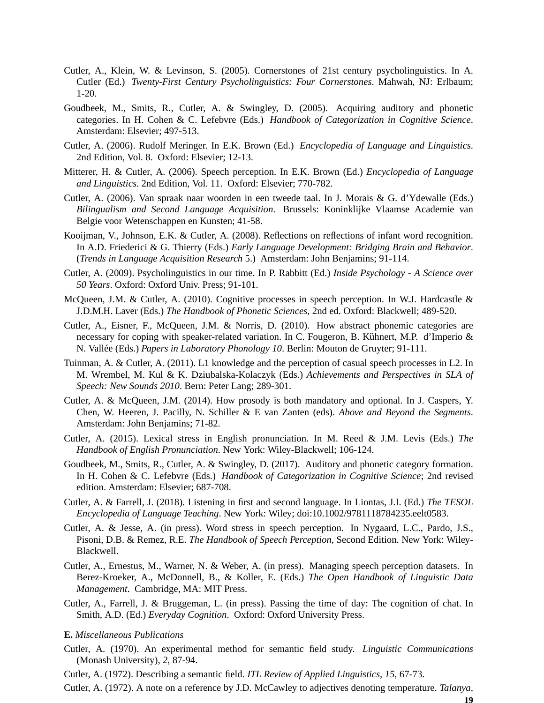- Cutler, A., Klein, W. & Levinson, S. (2005). Cornerstones of 21st century psycholinguistics. In A. Cutler (Ed.) *Twenty-First Century Psycholinguistics: Four Cornerstones*. Mahwah, NJ: Erlbaum; 1-20.
- Goudbeek, M., Smits, R., Cutler, A. & Swingley, D. (2005). Acquiring auditory and phonetic categories. In H. Cohen & C. Lefebvre (Eds.) *Handbook of Categorization in Cognitive Science*. Amsterdam: Elsevier; 497-513.
- Cutler, A. (2006). Rudolf Meringer. In E.K. Brown (Ed.) *Encyclopedia of Language and Linguistics*. 2nd Edition, Vol. 8. Oxford: Elsevier; 12-13.
- Mitterer, H. & Cutler, A. (2006). Speech perception. In E.K. Brown (Ed.) *Encyclopedia of Language and Linguistics*. 2nd Edition, Vol. 11. Oxford: Elsevier; 770-782.
- Cutler, A. (2006). Van spraak naar woorden in een tweede taal. In J. Morais & G. d'Ydewalle (Eds.) *Bilingualism and Second Language Acquisition*. Brussels: Koninklijke Vlaamse Academie van Belgie voor Wetenschappen en Kunsten; 41-58.
- Kooijman, V., Johnson, E.K. & Cutler, A. (2008). Reflections on reflections of infant word recognition. In A.D. Friederici & G. Thierry (Eds.) *Early Language Development: Bridging Brain and Behavior*. (*Trends in Language Acquisition Research* 5.) Amsterdam: John Benjamins; 91-114.
- Cutler, A. (2009). Psycholinguistics in our time. In P. Rabbitt (Ed.) *Inside Psychology A Science over 50 Years*. Oxford: Oxford Univ. Press; 91-101.
- McQueen, J.M. & Cutler, A. (2010). Cognitive processes in speech perception. In W.J. Hardcastle & J.D.M.H. Laver (Eds.) *The Handbook of Phonetic Sciences*, 2nd ed. Oxford: Blackwell; 489-520.
- Cutler, A., Eisner, F., McQueen, J.M. & Norris, D. (2010). How abstract phonemic categories are necessary for coping with speaker-related variation. In C. Fougeron, B. Kühnert, M.P. d'Imperio & N. Valle´e (Eds.) *Papers in Laboratory Phonology 10*. Berlin: Mouton de Gruyter; 91-111.
- Tuinman, A. & Cutler, A. (2011). L1 knowledge and the perception of casual speech processes in L2. In M. Wrembel, M. Kul & K. Dziubalska-Kolaczyk (Eds.) *Achievements and Perspectives in SLA of Speech: New Sounds 2010*. Bern: Peter Lang; 289-301.
- Cutler, A. & McQueen, J.M. (2014). How prosody is both mandatory and optional. In J. Caspers, Y. Chen, W. Heeren, J. Pacilly, N. Schiller & E van Zanten (eds). *Above and Beyond the Segments*. Amsterdam: John Benjamins; 71-82.
- Cutler, A. (2015). Lexical stress in English pronunciation. In M. Reed & J.M. Levis (Eds.) *The Handbook of English Pronunciation*. New York: Wiley-Blackwell; 106-124.
- Goudbeek, M., Smits, R., Cutler, A. & Swingley, D. (2017). Auditory and phonetic category formation. In H. Cohen & C. Lefebvre (Eds.) *Handbook of Categorization in Cognitive Science*; 2nd revised edition. Amsterdam: Elsevier; 687-708.
- Cutler, A. & Farrell, J. (2018). Listening in first and second language. In Liontas, J.I. (Ed.) *The TESOL Encyclopedia of Language Teaching*. New York: Wiley; doi:10.1002/9781118784235.eelt0583.
- Cutler, A. & Jesse, A. (in press). Word stress in speech perception. In Nygaard, L.C., Pardo, J.S., Pisoni, D.B. & Remez, R.E. *The Handbook of Speech Perception*, Second Edition. New York: Wiley-Blackwell.
- Cutler, A., Ernestus, M., Warner, N. & Weber, A. (in press). Managing speech perception datasets. In Berez-Kroeker, A., McDonnell, B., & Koller, E. (Eds.) *The Open Handbook of Linguistic Data Management*. Cambridge, MA: MIT Press.
- Cutler, A., Farrell, J. & Bruggeman, L. (in press). Passing the time of day: The cognition of chat. In Smith, A.D. (Ed.) *Everyday Cognition*. Oxford: Oxford University Press.
- **E.** *Miscellaneous Publications*
- Cutler, A. (1970). An experimental method for semantic field study. *Linguistic Communications* (Monash University), *2*, 87-94.
- Cutler, A. (1972). Describing a semantic field. *ITL Review of Applied Linguistics, 15,* 67-73.
- Cutler, A. (1972). A note on a reference by J.D. McCawley to adjectives denoting temperature. *Talanya,*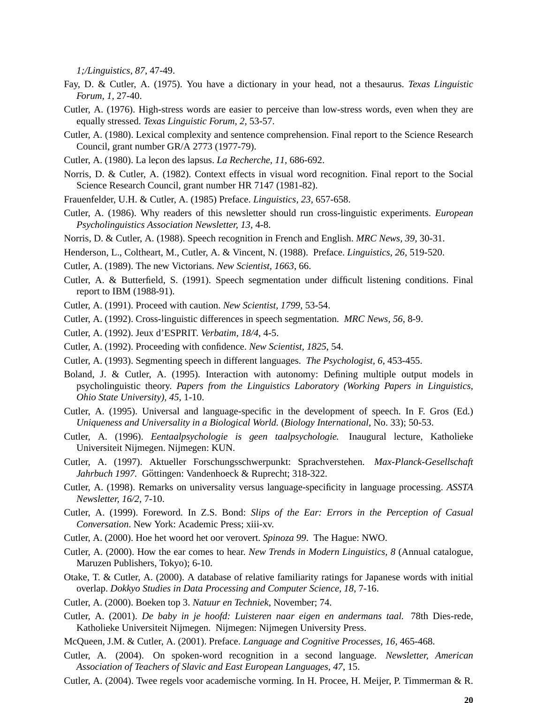*1;/Linguistics, 87*, 47-49.

- Fay, D. & Cutler, A. (1975). You have a dictionary in your head, not a thesaurus. *Te xas Linguistic Forum, 1,* 27-40.
- Cutler, A. (1976). High-stress words are easier to perceive than low-stress words, even when they are equally stressed. *Texas Linguistic Forum*, 2, 53-57.
- Cutler, A. (1980). Lexical complexity and sentence comprehension. Final report to the Science Research Council, grant number GR/A 2773 (1977-79).
- Cutler, A. (1980). La leçon des lapsus. *La Recherche*, 11, 686-692.
- Norris, D. & Cutler, A. (1982). Context effects in visual word recognition. Final report to the Social Science Research Council, grant number HR 7147 (1981-82).
- Frauenfelder, U.H. & Cutler, A. (1985) Preface. *Linguistics, 23,* 657-658.
- Cutler, A. (1986). Why readers of this newsletter should run cross-linguistic experiments. *European Psycholinguistics Association Newsletter, 13,* 4-8.
- Norris, D. & Cutler, A. (1988). Speech recognition in French and English. *MRC News, 39*, 30-31.
- Henderson, L., Coltheart, M., Cutler, A. & Vincent, N. (1988). Preface. *Linguistics, 26,* 519-520.
- Cutler, A. (1989). The new Victorians. *New Scientist, 1663*, 66.
- Cutler, A. & Butterfield, S. (1991). Speech segmentation under difficult listening conditions. Final report to IBM (1988-91).
- Cutler, A. (1991). Proceed with caution. *New Scientist, 1799*, 53-54.
- Cutler, A. (1992). Cross-linguistic differences in speech segmentation. *MRC News, 56*, 8-9.
- Cutler, A. (1992). Jeux d'ESPRIT. *Verbatim, 18/4*, 4-5.
- Cutler, A. (1992). Proceeding with confidence. *New Scientist, 1825*, 54.
- Cutler, A. (1993). Segmenting speech in different languages. *The Psychologist, 6*, 453-455.
- Boland, J. & Cutler, A. (1995). Interaction with autonomy: Defining multiple output models in psycholinguistic theory. *Papers from the Linguistics Laboratory (Working Papers in Linguistics, Ohio State University), 45*, 1-10.
- Cutler, A. (1995). Universal and language-specific in the development of speech. In F. Gros (Ed.) *Uniqueness and Universality in a Biological World.* (*Biology International*, No. 33); 50-53.
- Cutler, A. (1996). *Eentaalpsychologie is geen taalpsychologie.* Inaugural lecture, Katholieke Universiteit Nijmegen. Nijmegen: KUN.
- Cutler, A. (1997). Aktueller Forschungsschwerpunkt: Sprachverstehen. *Max-Planck-Gesellschaft* Jahrbuch 1997. Göttingen: Vandenhoeck & Ruprecht; 318-322.
- Cutler, A. (1998). Remarks on universality versus language-specificity in language processing. *ASSTA Newsletter, 16/2*, 7-10.
- Cutler, A. (1999). Foreword. In Z.S. Bond: *Slips of the Ear: Errors in the Perception of Casual Conversation*. New York: Academic Press; xiii-xv.
- Cutler, A. (2000). Hoe het woord het oor verovert. *Spinoza 99*. The Hague: NWO.
- Cutler, A. (2000). How the ear comes to hear. *New Trends in Modern Linguistics, 8* (Annual catalogue, Maruzen Publishers, Tokyo); 6-10.
- Otake, T. & Cutler, A. (2000). A database of relative familiarity ratings for Japanese words with initial overlap. *Dokkyo Studies in Data Processing and Computer Science, 18*, 7-16.
- Cutler, A. (2000). Boeken top 3. *Natuur en Techniek*, November; 74.
- Cutler, A. (2001). *De baby in je hoofd: Luisteren naar eigen en andermans taal.* 78th Dies-rede, Katholieke Universiteit Nijmegen. Nijmegen: Nijmegen University Press.
- McQueen, J.M. & Cutler, A. (2001). Preface. *Language and Cognitive Processes, 16*, 465-468.
- Cutler, A. (2004). On spoken-word recognition in a second language. *Newsletter, American Association of Teachers of Slavic and East European Languages, 47*, 15.
- Cutler, A. (2004). Twee regels voor academische vorming. In H. Procee, H. Meijer, P. Timmerman & R.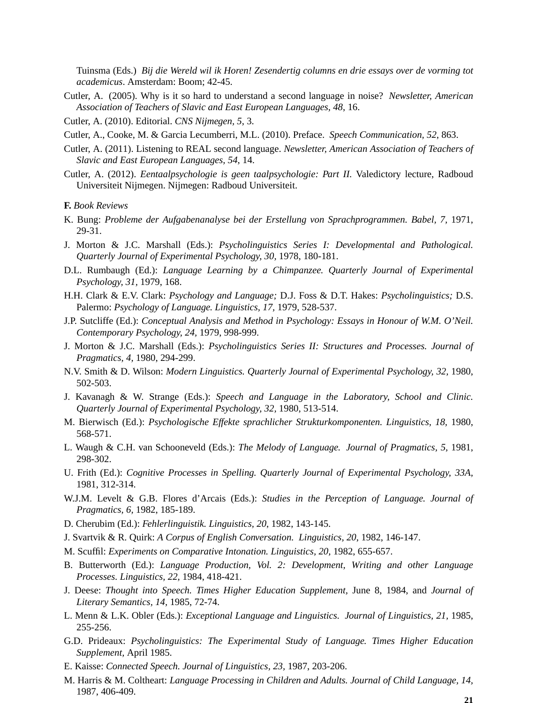Tuinsma (Eds.) *Bij die Wereld wil ik Horen! Zesendertig columns en drie essays over de vorming tot academicus*. Amsterdam: Boom; 42-45.

Cutler, A. (2005). Why is it so hard to understand a second language in noise? *Newsletter, American Association of Teachers of Slavic and East European Languages, 48*, 16.

Cutler, A. (2010). Editorial. *CNS Nijmegen, 5*, 3.

Cutler, A., Cooke, M. & Garcia Lecumberri, M.L. (2010). Preface. *Speech Communication, 52*, 863.

- Cutler, A. (2011). Listening to REAL second language. *Newsletter, American Association of Teachers of Slavic and East European Languages, 54*, 14.
- Cutler, A. (2012). *Eentaalpsychologie is geen taalpsychologie: Part II.* Valedictory lecture, Radboud Universiteit Nijmegen. Nijmegen: Radboud Universiteit.

#### **F.** *Book Reviews*

- K. Bung: *Probleme der Aufgabenanalyse bei der Erstellung von Sprachprogrammen. Babel, 7,* 1971, 29-31.
- J. Morton & J.C. Marshall (Eds.): *Psycholinguistics Series I: Developmental and Pathological. Quarterly Journal of Experimental Psychology, 30,* 1978, 180-181.
- D.L. Rumbaugh (Ed.): *Language Learning by a Chimpanzee. Quarterly Journal of Experimental Psychology, 31,* 1979, 168.
- H.H. Clark & E.V. Clark: *Psychology and Language;* D.J. Foss & D.T. Hakes: *Psycholinguistics;* D.S. Palermo: *Psychology of Language. Linguistics, 17,* 1979, 528-537.
- J.P. Sutcliffe (Ed.): *Conceptual Analysis and Method in Psychology: Essays in Honour of W.M. O'Neil. Contemporary Psychology, 24,* 1979, 998-999.
- J. Morton & J.C. Marshall (Eds.): *Psycholinguistics Series II: Structures and Processes. Journal of Pragmatics, 4,* 1980, 294-299.
- N.V. Smith & D. Wilson: *Modern Linguistics. Quarterly Journal of Experimental Psychology, 32,* 1980, 502-503.
- J. Kavanagh & W. Strange (Eds.): *Speech and Language in the Laboratory, School and Clinic. Quarterly Journal of Experimental Psychology, 32,* 1980, 513-514.
- M. Bierwisch (Ed.): *Psychologische Effekte sprachlicher Strukturkomponenten. Linguistics, 18,* 1980, 568-571.
- L. Waugh & C.H. van Schooneveld (Eds.): *The Melody of Language. Journal of Pragmatics, 5,* 1981, 298-302.
- U. Frith (Ed.): *Cognitive Processes in Spelling. Quarterly Journal of Experimental Psychology, 33A,* 1981, 312-314.
- W.J.M. Levelt & G.B. Flores d'Arcais (Eds.): *Studies in the Perception of Language. Journal of Pragmatics, 6,* 1982, 185-189.
- D. Cherubim (Ed.): *Fehlerlinguistik. Linguistics, 20*, 1982, 143-145.
- J. Svartvik & R. Quirk: *A Corpus of English Conversation. Linguistics, 20*, 1982, 146-147.
- M. Scuffil: *Experiments on Comparative Intonation. Linguistics, 20,* 1982, 655-657.
- B. Butterworth (Ed.): *Language Production, Vol. 2: Development, Writing and other Language Processes. Linguistics, 22,* 1984, 418-421.
- J. Deese: *Thought into Speech. Times Higher Education Supplement,* June 8, 1984, and *Journal of Literary Semantics, 14,* 1985, 72-74.
- L. Menn & L.K. Obler (Eds.): *Exceptional Language and Linguistics. Journal of Linguistics, 21,* 1985, 255-256.
- G.D. Prideaux: *Psycholinguistics: The Experimental Study of Language. Times Higher Education Supplement,* April 1985.
- E. Kaisse: *Connected Speech. Journal of Linguistics, 23,* 1987, 203-206.
- M. Harris & M. Coltheart: *Language Processing in Children and Adults. Journal of Child Language, 14,* 1987, 406-409.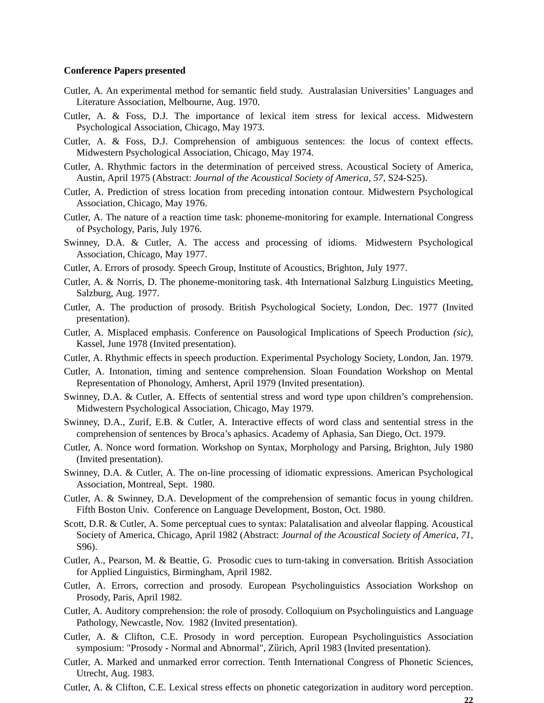#### **Conference Papers presented**

- Cutler, A. An experimental method for semantic field study. Australasian Universities' Languages and Literature Association, Melbourne, Aug. 1970.
- Cutler, A. & Foss, D.J. The importance of lexical item stress for lexical access. Midwestern Psychological Association, Chicago, May 1973.
- Cutler, A. & Foss, D.J. Comprehension of ambiguous sentences: the locus of context effects. Midwestern Psychological Association, Chicago, May 1974.
- Cutler, A. Rhythmic factors in the determination of perceived stress. Acoustical Society of America, Austin, April 1975 (Abstract: *Journal of the Acoustical Society of America, 57*, S24-S25).
- Cutler, A. Prediction of stress location from preceding intonation contour. Midwestern Psychological Association, Chicago, May 1976.
- Cutler, A. The nature of a reaction time task: phoneme-monitoring for example. International Congress of Psychology, Paris, July 1976.
- Swinney, D.A. & Cutler, A. The access and processing of idioms. Midwestern Psychological Association, Chicago, May 1977.
- Cutler, A. Errors of prosody. Speech Group, Institute of Acoustics, Brighton, July 1977.
- Cutler, A. & Norris, D. The phoneme-monitoring task. 4th International Salzburg Linguistics Meeting, Salzburg, Aug. 1977.
- Cutler, A. The production of prosody. British Psychological Society, London, Dec. 1977 (Invited presentation).
- Cutler, A. Misplaced emphasis. Conference on Pausological Implications of Speech Production *(sic),* Kassel, June 1978 (Invited presentation).
- Cutler, A. Rhythmic effects in speech production. Experimental Psychology Society, London, Jan. 1979.
- Cutler, A. Intonation, timing and sentence comprehension. Sloan Foundation Workshop on Mental Representation of Phonology, Amherst, April 1979 (Invited presentation).
- Swinney, D.A. & Cutler, A. Effects of sentential stress and word type upon children's comprehension. Midwestern Psychological Association, Chicago, May 1979.
- Swinney, D.A., Zurif, E.B. & Cutler, A. Interactive effects of word class and sentential stress in the comprehension of sentences by Broca's aphasics. Academy of Aphasia, San Diego, Oct. 1979.
- Cutler, A. Nonce word formation. Workshop on Syntax, Morphology and Parsing, Brighton, July 1980 (Invited presentation).
- Swinney, D.A. & Cutler, A. The on-line processing of idiomatic expressions. American Psychological Association, Montreal, Sept. 1980.
- Cutler, A. & Swinney, D.A. Development of the comprehension of semantic focus in young children. Fifth Boston Univ. Conference on Language Development, Boston, Oct. 1980.
- Scott, D.R. & Cutler, A. Some perceptual cues to syntax: Palatalisation and alveolar flapping. Acoustical Society of America, Chicago, April 1982 (Abstract: *Journal of the Acoustical Society of America, 71*, S96).
- Cutler, A., Pearson, M. & Beattie, G. Prosodic cues to turn-taking in conversation. British Association for Applied Linguistics, Birmingham, April 1982.
- Cutler, A. Errors, correction and prosody. European Psycholinguistics Association Workshop on Prosody, Paris, April 1982.
- Cutler, A. Auditory comprehension: the role of prosody. Colloquium on Psycholinguistics and Language Pathology, Newcastle, Nov. 1982 (Invited presentation).
- Cutler, A. & Clifton, C.E. Prosody in word perception. European Psycholinguistics Association symposium: "Prosody - Normal and Abnormal", Zürich, April 1983 (Invited presentation).
- Cutler, A. Marked and unmarked error correction. Tenth International Congress of Phonetic Sciences, Utrecht, Aug. 1983.
- Cutler, A. & Clifton, C.E. Lexical stress effects on phonetic categorization in auditory word perception.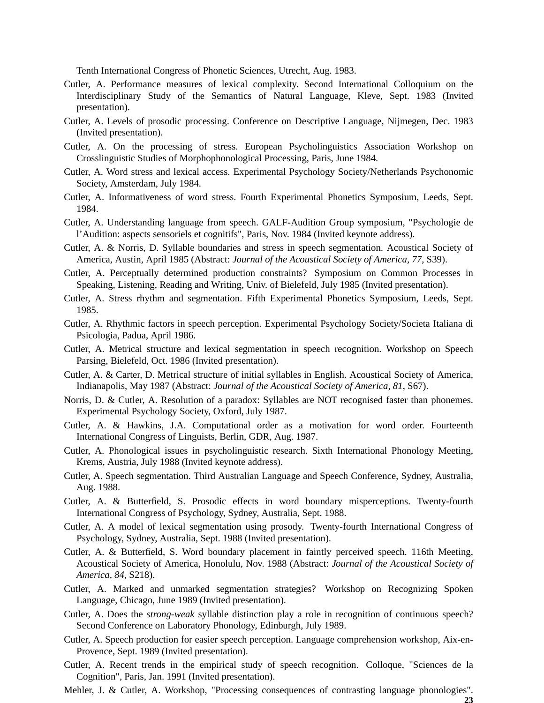Tenth International Congress of Phonetic Sciences, Utrecht, Aug. 1983.

- Cutler, A. Performance measures of lexical complexity. Second International Colloquium on the Interdisciplinary Study of the Semantics of Natural Language, Kleve, Sept. 1983 (Invited presentation).
- Cutler, A. Levels of prosodic processing. Conference on Descriptive Language, Nijmegen, Dec. 1983 (Invited presentation).
- Cutler, A. On the processing of stress. European Psycholinguistics Association Workshop on Crosslinguistic Studies of Morphophonological Processing, Paris, June 1984.
- Cutler, A. Word stress and lexical access. Experimental Psychology Society/Netherlands Psychonomic Society, Amsterdam, July 1984.
- Cutler, A. Informativeness of word stress. Fourth Experimental Phonetics Symposium, Leeds, Sept. 1984.
- Cutler, A. Understanding language from speech. GALF-Audition Group symposium, "Psychologie de l'Audition: aspects sensoriels et cognitifs", Paris, Nov. 1984 (Invited keynote address).
- Cutler, A. & Norris, D. Syllable boundaries and stress in speech segmentation. Acoustical Society of America, Austin, April 1985 (Abstract: *Journal of the Acoustical Society of America, 77*, S39).
- Cutler, A. Perceptually determined production constraints? Symposium on Common Processes in Speaking, Listening, Reading and Writing, Univ. of Bielefeld, July 1985 (Invited presentation).
- Cutler, A. Stress rhythm and segmentation. Fifth Experimental Phonetics Symposium, Leeds, Sept. 1985.
- Cutler, A. Rhythmic factors in speech perception. Experimental Psychology Society/Societa Italiana di Psicologia, Padua, April 1986.
- Cutler, A. Metrical structure and lexical segmentation in speech recognition. Workshop on Speech Parsing, Bielefeld, Oct. 1986 (Invited presentation).
- Cutler, A. & Carter, D. Metrical structure of initial syllables in English. Acoustical Society of America, Indianapolis, May 1987 (Abstract: *Journal of the Acoustical Society of America, 81*, S67).
- Norris, D. & Cutler, A. Resolution of a paradox: Syllables are NOT recognised faster than phonemes. Experimental Psychology Society, Oxford, July 1987.
- Cutler, A. & Hawkins, J.A. Computational order as a motivation for word order. Fourteenth International Congress of Linguists, Berlin, GDR, Aug. 1987.
- Cutler, A. Phonological issues in psycholinguistic research. Sixth International Phonology Meeting, Krems, Austria, July 1988 (Invited keynote address).
- Cutler, A. Speech segmentation. Third Australian Language and Speech Conference, Sydney, Australia, Aug. 1988.
- Cutler, A. & Butterfield, S. Prosodic effects in word boundary misperceptions. Twenty-fourth International Congress of Psychology, Sydney, Australia, Sept. 1988.
- Cutler, A. A model of lexical segmentation using prosody. Twenty-fourth International Congress of Psychology, Sydney, Australia, Sept. 1988 (Invited presentation).
- Cutler, A. & Butterfield, S. Word boundary placement in faintly perceived speech. 116th Meeting, Acoustical Society of America, Honolulu, Nov. 1988 (Abstract: *Journal of the Acoustical Society of America, 84*, S218).
- Cutler, A. Marked and unmarked segmentation strategies? Workshop on Recognizing Spoken Language, Chicago, June 1989 (Invited presentation).
- Cutler, A. Does the *strong-weak* syllable distinction play a role in recognition of continuous speech? Second Conference on Laboratory Phonology, Edinburgh, July 1989.
- Cutler, A. Speech production for easier speech perception. Language comprehension workshop, Aix-en-Provence, Sept. 1989 (Invited presentation).
- Cutler, A. Recent trends in the empirical study of speech recognition. Colloque, "Sciences de la Cognition", Paris, Jan. 1991 (Invited presentation).
- Mehler, J. & Cutler, A. Workshop, "Processing consequences of contrasting language phonologies". **23**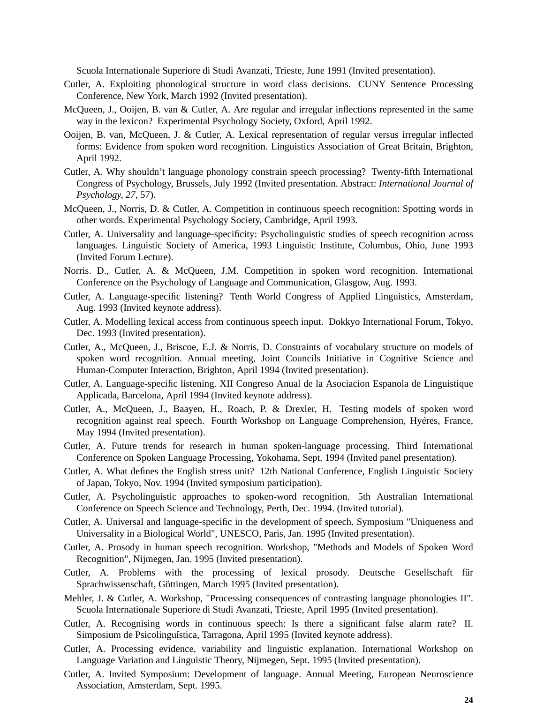Scuola Internationale Superiore di Studi Avanzati, Trieste, June 1991 (Invited presentation).

- Cutler, A. Exploiting phonological structure in word class decisions. CUNY Sentence Processing Conference, New York, March 1992 (Invited presentation).
- McQueen, J., Ooijen, B. van & Cutler, A. Are regular and irregular inflections represented in the same way in the lexicon? Experimental Psychology Society, Oxford, April 1992.
- Ooijen, B. van, McQueen, J. & Cutler, A. Lexical representation of regular versus irregular inflected forms: Evidence from spoken word recognition. Linguistics Association of Great Britain, Brighton, April 1992.
- Cutler, A. Why shouldn't language phonology constrain speech processing? Twenty-fifth International Congress of Psychology, Brussels, July 1992 (Invited presentation. Abstract: *International Journal of Psychology, 27*, 57).
- McQueen, J., Norris, D. & Cutler, A. Competition in continuous speech recognition: Spotting words in other words. Experimental Psychology Society, Cambridge, April 1993.
- Cutler, A. Universality and language-specificity: Psycholinguistic studies of speech recognition across languages. Linguistic Society of America, 1993 Linguistic Institute, Columbus, Ohio, June 1993 (Invited Forum Lecture).
- Norris. D., Cutler, A. & McQueen, J.M. Competition in spoken word recognition. International Conference on the Psychology of Language and Communication, Glasgow, Aug. 1993.
- Cutler, A. Language-specific listening? Tenth World Congress of Applied Linguistics, Amsterdam, Aug. 1993 (Invited keynote address).
- Cutler, A. Modelling lexical access from continuous speech input. Dokkyo International Forum, Tokyo, Dec. 1993 (Invited presentation).
- Cutler, A., McQueen, J., Briscoe, E.J. & Norris, D. Constraints of vocabulary structure on models of spoken word recognition. Annual meeting, Joint Councils Initiative in Cognitive Science and Human-Computer Interaction, Brighton, April 1994 (Invited presentation).
- Cutler, A. Language-specific listening. XII Congreso Anual de la Asociacion Espanola de Linguistique Applicada, Barcelona, April 1994 (Invited keynote address).
- Cutler, A., McQueen, J., Baayen, H., Roach, P. & Drexler, H. Testing models of spoken word recognition against real speech. Fourth Workshop on Language Comprehension, Hyères, France, May 1994 (Invited presentation).
- Cutler, A. Future trends for research in human spoken-language processing. Third International Conference on Spoken Language Processing, Yokohama, Sept. 1994 (Invited panel presentation).
- Cutler, A. What defines the English stress unit? 12th National Conference, English Linguistic Society of Japan, Tokyo, Nov. 1994 (Invited symposium participation).
- Cutler, A. Psycholinguistic approaches to spoken-word recognition. 5th Australian International Conference on Speech Science and Technology, Perth, Dec. 1994. (Invited tutorial).
- Cutler, A. Universal and language-specific in the development of speech. Symposium "Uniqueness and Universality in a Biological World", UNESCO, Paris, Jan. 1995 (Invited presentation).
- Cutler, A. Prosody in human speech recognition. Workshop, "Methods and Models of Spoken Word Recognition", Nijmegen, Jan. 1995 (Invited presentation).
- Cutler, A. Problems with the processing of lexical prosody. Deutsche Gesellschaft für Sprachwissenschaft, Göttingen, March 1995 (Invited presentation).
- Mehler, J. & Cutler, A. Workshop, "Processing consequences of contrasting language phonologies II". Scuola Internationale Superiore di Studi Avanzati, Trieste, April 1995 (Invited presentation).
- Cutler, A. Recognising words in continuous speech: Is there a significant false alarm rate? II. Simposium de Psicolinguística, Tarragona, April 1995 (Invited keynote address).
- Cutler, A. Processing evidence, variability and linguistic explanation. International Workshop on Language Variation and Linguistic Theory, Nijmegen, Sept. 1995 (Invited presentation).
- Cutler, A. Invited Symposium: Development of language. Annual Meeting, European Neuroscience Association, Amsterdam, Sept. 1995.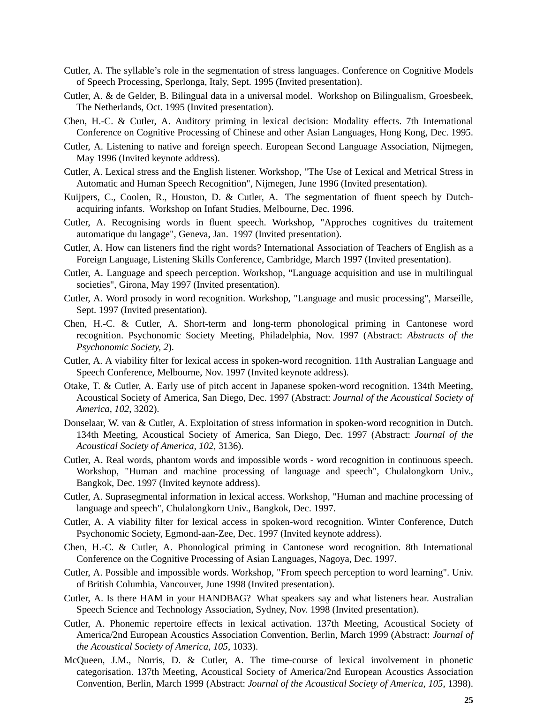- Cutler, A. The syllable's role in the segmentation of stress languages. Conference on Cognitive Models of Speech Processing, Sperlonga, Italy, Sept. 1995 (Invited presentation).
- Cutler, A. & de Gelder, B. Bilingual data in a universal model. Workshop on Bilingualism, Groesbeek, The Netherlands, Oct. 1995 (Invited presentation).
- Chen, H.-C. & Cutler, A. Auditory priming in lexical decision: Modality effects. 7th International Conference on Cognitive Processing of Chinese and other Asian Languages, Hong Kong, Dec. 1995.
- Cutler, A. Listening to native and foreign speech. European Second Language Association, Nijmegen, May 1996 (Invited keynote address).
- Cutler, A. Lexical stress and the English listener. Workshop, "The Use of Lexical and Metrical Stress in Automatic and Human Speech Recognition", Nijmegen, June 1996 (Invited presentation).
- Kuijpers, C., Coolen, R., Houston, D. & Cutler, A. The segmentation of fluent speech by Dutchacquiring infants. Workshop on Infant Studies, Melbourne, Dec. 1996.
- Cutler, A. Recognising words in fluent speech. Workshop, "Approches cognitives du traitement automatique du langage", Geneva, Jan. 1997 (Invited presentation).
- Cutler, A. How can listeners find the right words? International Association of Teachers of English as a Foreign Language, Listening Skills Conference, Cambridge, March 1997 (Invited presentation).
- Cutler, A. Language and speech perception. Workshop, "Language acquisition and use in multilingual societies", Girona, May 1997 (Invited presentation).
- Cutler, A. Word prosody in word recognition. Workshop, "Language and music processing", Marseille, Sept. 1997 (Invited presentation).
- Chen, H.-C. & Cutler, A. Short-term and long-term phonological priming in Cantonese word recognition. Psychonomic Society Meeting, Philadelphia, Nov. 1997 (Abstract: *Abstracts of the Psychonomic Society, 2*).
- Cutler, A. A viability filter for lexical access in spoken-word recognition. 11th Australian Language and Speech Conference, Melbourne, Nov. 1997 (Invited keynote address).
- Otake, T. & Cutler, A. Early use of pitch accent in Japanese spoken-word recognition. 134th Meeting, Acoustical Society of America, San Diego, Dec. 1997 (Abstract: *Journal of the Acoustical Society of America, 102*, 3202).
- Donselaar, W. van & Cutler, A. Exploitation of stress information in spoken-word recognition in Dutch. 134th Meeting, Acoustical Society of America, San Diego, Dec. 1997 (Abstract: *Journal of the Acoustical Society of America, 102*, 3136).
- Cutler, A. Real words, phantom words and impossible words word recognition in continuous speech. Workshop, "Human and machine processing of language and speech", Chulalongkorn Univ., Bangkok, Dec. 1997 (Invited keynote address).
- Cutler, A. Suprasegmental information in lexical access. Workshop, "Human and machine processing of language and speech", Chulalongkorn Univ., Bangkok, Dec. 1997.
- Cutler, A. A viability filter for lexical access in spoken-word recognition. Winter Conference, Dutch Psychonomic Society, Egmond-aan-Zee, Dec. 1997 (Invited keynote address).
- Chen, H.-C. & Cutler, A. Phonological priming in Cantonese word recognition. 8th International Conference on the Cognitive Processing of Asian Languages, Nagoya, Dec. 1997.
- Cutler, A. Possible and impossible words. Workshop, "From speech perception to word learning". Univ. of British Columbia, Vancouver, June 1998 (Invited presentation).
- Cutler, A. Is there HAM in your HANDBAG? What speakers say and what listeners hear. Australian Speech Science and Technology Association, Sydney, Nov. 1998 (Invited presentation).
- Cutler, A. Phonemic repertoire effects in lexical activation. 137th Meeting, Acoustical Society of America/2nd European Acoustics Association Convention, Berlin, March 1999 (Abstract: *Journal of the Acoustical Society of America, 105*, 1033).
- McQueen, J.M., Norris, D. & Cutler, A. The time-course of lexical involvement in phonetic categorisation. 137th Meeting, Acoustical Society of America/2nd European Acoustics Association Convention, Berlin, March 1999 (Abstract: *Journal of the Acoustical Society of America, 105*, 1398).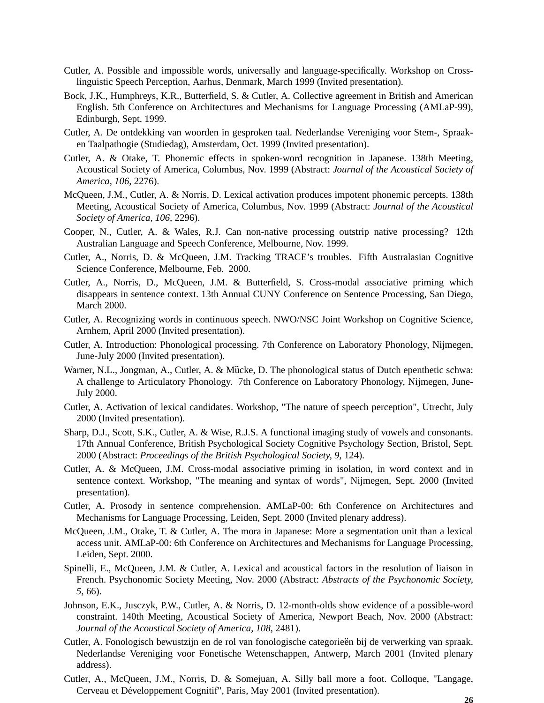- Cutler, A. Possible and impossible words, universally and language-specifically. Workshop on Crosslinguistic Speech Perception, Aarhus, Denmark, March 1999 (Invited presentation).
- Bock, J.K., Humphreys, K.R., Butterfield, S. & Cutler, A. Collective agreement in British and American English. 5th Conference on Architectures and Mechanisms for Language Processing (AMLaP-99), Edinburgh, Sept. 1999.
- Cutler, A. De ontdekking van woorden in gesproken taal. Nederlandse Vereniging voor Stem-, Spraaken Taalpathogie (Studiedag), Amsterdam, Oct. 1999 (Invited presentation).
- Cutler, A. & Otake, T. Phonemic effects in spoken-word recognition in Japanese. 138th Meeting, Acoustical Society of America, Columbus, Nov. 1999 (Abstract: *Journal of the Acoustical Society of America, 106*, 2276).
- McQueen, J.M., Cutler, A. & Norris, D. Lexical activation produces impotent phonemic percepts. 138th Meeting, Acoustical Society of America, Columbus, Nov. 1999 (Abstract: *Journal of the Acoustical Society of America, 106*, 2296).
- Cooper, N., Cutler, A. & Wales, R.J. Can non-native processing outstrip native processing? 12th Australian Language and Speech Conference, Melbourne, Nov. 1999.
- Cutler, A., Norris, D. & McQueen, J.M. Tracking TRACE's troubles. Fifth Australasian Cognitive Science Conference, Melbourne, Feb. 2000.
- Cutler, A., Norris, D., McQueen, J.M. & Butterfield, S. Cross-modal associative priming which disappears in sentence context. 13th Annual CUNY Conference on Sentence Processing, San Diego, March 2000.
- Cutler, A. Recognizing words in continuous speech. NWO/NSC Joint Workshop on Cognitive Science, Arnhem, April 2000 (Invited presentation).
- Cutler, A. Introduction: Phonological processing. 7th Conference on Laboratory Phonology, Nijmegen, June-July 2000 (Invited presentation).
- Warner, N.L., Jongman, A., Cutler, A. & Mücke, D. The phonological status of Dutch epenthetic schwa: A challenge to Articulatory Phonology. 7th Conference on Laboratory Phonology, Nijmegen, June-July 2000.
- Cutler, A. Activation of lexical candidates. Workshop, "The nature of speech perception", Utrecht, July 2000 (Invited presentation).
- Sharp, D.J., Scott, S.K., Cutler, A. & Wise, R.J.S. A functional imaging study of vowels and consonants. 17th Annual Conference, British Psychological Society Cognitive Psychology Section, Bristol, Sept. 2000 (Abstract: *Proceedings of the British Psychological Society, 9*, 124).
- Cutler, A. & McQueen, J.M. Cross-modal associative priming in isolation, in word context and in sentence context. Workshop, "The meaning and syntax of words", Nijmegen, Sept. 2000 (Invited presentation).
- Cutler, A. Prosody in sentence comprehension. AMLaP-00: 6th Conference on Architectures and Mechanisms for Language Processing, Leiden, Sept. 2000 (Invited plenary address).
- McQueen, J.M., Otake, T. & Cutler, A. The mora in Japanese: More a segmentation unit than a lexical access unit. AMLaP-00: 6th Conference on Architectures and Mechanisms for Language Processing, Leiden, Sept. 2000.
- Spinelli, E., McQueen, J.M. & Cutler, A. Lexical and acoustical factors in the resolution of liaison in French. Psychonomic Society Meeting, Nov. 2000 (Abstract: *Abstracts of the Psychonomic Society, 5*, 66).
- Johnson, E.K., Jusczyk, P.W., Cutler, A. & Norris, D. 12-month-olds show evidence of a possible-word constraint. 140th Meeting, Acoustical Society of America, Newport Beach, Nov. 2000 (Abstract: *Journal of the Acoustical Society of America, 108*, 2481).
- Cutler, A. Fonologisch bewustzijn en de rol van fonologische categorieën bij de verwerking van spraak. Nederlandse Vereniging voor Fonetische Wetenschappen, Antwerp, March 2001 (Invited plenary address).
- Cutler, A., McQueen, J.M., Norris, D. & Somejuan, A. Silly ball more a foot. Colloque, "Langage, Cerveau et Développement Cognitif", Paris, May 2001 (Invited presentation).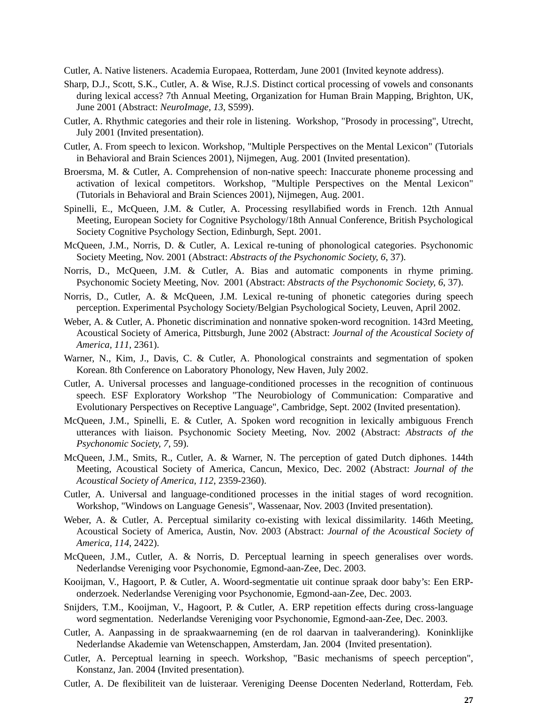Cutler, A. Native listeners. Academia Europaea, Rotterdam, June 2001 (Invited keynote address).

- Sharp, D.J., Scott, S.K., Cutler, A. & Wise, R.J.S. Distinct cortical processing of vowels and consonants during lexical access? 7th Annual Meeting, Organization for Human Brain Mapping, Brighton, UK, June 2001 (Abstract: *NeuroImage, 13*, S599).
- Cutler, A. Rhythmic categories and their role in listening. Workshop, "Prosody in processing", Utrecht, July 2001 (Invited presentation).
- Cutler, A. From speech to lexicon. Workshop, "Multiple Perspectives on the Mental Lexicon" (Tutorials in Behavioral and Brain Sciences 2001), Nijmegen, Aug. 2001 (Invited presentation).
- Broersma, M. & Cutler, A. Comprehension of non-native speech: Inaccurate phoneme processing and activation of lexical competitors. Workshop, "Multiple Perspectives on the Mental Lexicon" (Tutorials in Behavioral and Brain Sciences 2001), Nijmegen, Aug. 2001.
- Spinelli, E., McQueen, J.M. & Cutler, A. Processing resyllabified words in French. 12th Annual Meeting, European Society for Cognitive Psychology/18th Annual Conference, British Psychological Society Cognitive Psychology Section, Edinburgh, Sept. 2001.
- McQueen, J.M., Norris, D. & Cutler, A. Lexical re-tuning of phonological categories. Psychonomic Society Meeting, Nov. 2001 (Abstract: *Abstracts of the Psychonomic Society, 6*, 37).
- Norris, D., McQueen, J.M. & Cutler, A. Bias and automatic components in rhyme priming. Psychonomic Society Meeting, Nov. 2001 (Abstract: *Abstracts of the Psychonomic Society, 6*, 37).
- Norris, D., Cutler, A. & McQueen, J.M. Lexical re-tuning of phonetic categories during speech perception. Experimental Psychology Society/Belgian Psychological Society, Leuven, April 2002.
- Weber, A. & Cutler, A. Phonetic discrimination and nonnative spoken-word recognition. 143rd Meeting, Acoustical Society of America, Pittsburgh, June 2002 (Abstract: *Journal of the Acoustical Society of America, 111*, 2361).
- Warner, N., Kim, J., Davis, C. & Cutler, A. Phonological constraints and segmentation of spoken Korean. 8th Conference on Laboratory Phonology, New Haven, July 2002.
- Cutler, A. Universal processes and language-conditioned processes in the recognition of continuous speech. ESF Exploratory Workshop "The Neurobiology of Communication: Comparative and Evolutionary Perspectives on Receptive Language", Cambridge, Sept. 2002 (Invited presentation).
- McQueen, J.M., Spinelli, E. & Cutler, A. Spoken word recognition in lexically ambiguous French utterances with liaison. Psychonomic Society Meeting, Nov. 2002 (Abstract: *Abstracts of the Psychonomic Society, 7*, 59).
- McQueen, J.M., Smits, R., Cutler, A. & Warner, N. The perception of gated Dutch diphones. 144th Meeting, Acoustical Society of America, Cancun, Mexico, Dec. 2002 (Abstract: *Journal of the Acoustical Society of America, 112*, 2359-2360).
- Cutler, A. Universal and language-conditioned processes in the initial stages of word recognition. Workshop, "Windows on Language Genesis", Wassenaar, Nov. 2003 (Invited presentation).
- Weber, A. & Cutler, A. Perceptual similarity co-existing with lexical dissimilarity. 146th Meeting, Acoustical Society of America, Austin, Nov. 2003 (Abstract: *Journal of the Acoustical Society of America, 114*, 2422).
- McQueen, J.M., Cutler, A. & Norris, D. Perceptual learning in speech generalises over words. Nederlandse Vereniging voor Psychonomie, Egmond-aan-Zee, Dec. 2003.
- Kooijman, V., Hagoort, P. & Cutler, A. Woord-segmentatie uit continue spraak door baby's: Een ERPonderzoek. Nederlandse Vereniging voor Psychonomie, Egmond-aan-Zee, Dec. 2003.
- Snijders, T.M., Kooijman, V., Hagoort, P. & Cutler, A. ERP repetition effects during cross-language word segmentation. Nederlandse Vereniging voor Psychonomie, Egmond-aan-Zee, Dec. 2003.
- Cutler, A. Aanpassing in de spraakwaarneming (en de rol daarvan in taalverandering). Koninklijke Nederlandse Akademie van Wetenschappen, Amsterdam, Jan. 2004 (Invited presentation).
- Cutler, A. Perceptual learning in speech. Workshop, "Basic mechanisms of speech perception", Konstanz, Jan. 2004 (Invited presentation).
- Cutler, A. De flexibiliteit van de luisteraar. Vereniging Deense Docenten Nederland, Rotterdam, Feb.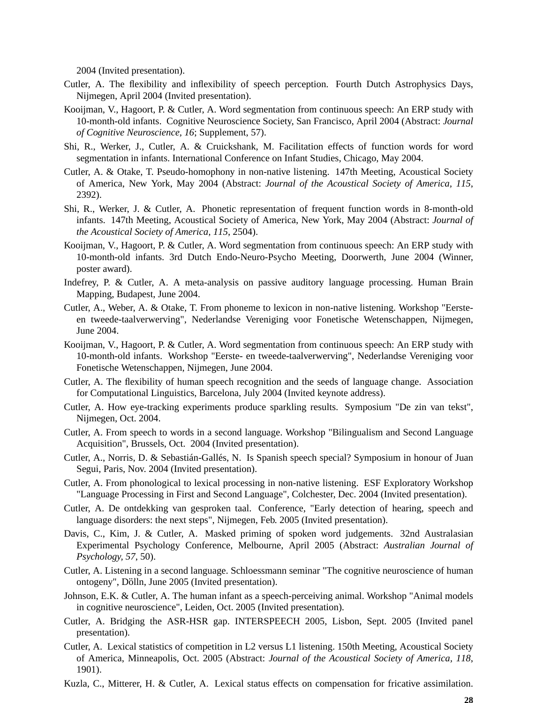2004 (Invited presentation).

- Cutler, A. The flexibility and inflexibility of speech perception. Fourth Dutch Astrophysics Days, Nijmegen, April 2004 (Invited presentation).
- Kooijman, V., Hagoort, P. & Cutler, A. Word segmentation from continuous speech: An ERP study with 10-month-old infants. Cognitive Neuroscience Society, San Francisco, April 2004 (Abstract: *Journal of Cognitive Neuroscience, 16*; Supplement, 57).
- Shi, R., Werker, J., Cutler, A. & Cruickshank, M. Facilitation effects of function words for word segmentation in infants. International Conference on Infant Studies, Chicago, May 2004.
- Cutler, A. & Otake, T. Pseudo-homophony in non-native listening. 147th Meeting, Acoustical Society of America, New York, May 2004 (Abstract: *Journal of the Acoustical Society of America, 115*, 2392).
- Shi, R., Werker, J. & Cutler, A. Phonetic representation of frequent function words in 8-month-old infants. 147th Meeting, Acoustical Society of America, New York, May 2004 (Abstract: *Journal of the Acoustical Society of America, 115*, 2504).
- Kooijman, V., Hagoort, P. & Cutler, A. Word segmentation from continuous speech: An ERP study with 10-month-old infants. 3rd Dutch Endo-Neuro-Psycho Meeting, Doorwerth, June 2004 (Winner, poster award).
- Indefrey, P. & Cutler, A. A meta-analysis on passive auditory language processing. Human Brain Mapping, Budapest, June 2004.
- Cutler, A., Weber, A. & Otake, T. From phoneme to lexicon in non-native listening. Workshop "Eersteen tweede-taalverwerving", Nederlandse Vereniging voor Fonetische Wetenschappen, Nijmegen, June 2004.
- Kooijman, V., Hagoort, P. & Cutler, A. Word segmentation from continuous speech: An ERP study with 10-month-old infants. Workshop "Eerste- en tweede-taalverwerving", Nederlandse Vereniging voor Fonetische Wetenschappen, Nijmegen, June 2004.
- Cutler, A. The flexibility of human speech recognition and the seeds of language change. Association for Computational Linguistics, Barcelona, July 2004 (Invited keynote address).
- Cutler, A. How eye-tracking experiments produce sparkling results. Symposium "De zin van tekst", Nijmegen, Oct. 2004.
- Cutler, A. From speech to words in a second language. Workshop "Bilingualism and Second Language Acquisition", Brussels, Oct. 2004 (Invited presentation).
- Cutler, A., Norris, D. & Sebastián-Gallés, N. Is Spanish speech special? Symposium in honour of Juan Segui, Paris, Nov. 2004 (Invited presentation).
- Cutler, A. From phonological to lexical processing in non-native listening. ESF Exploratory Workshop "Language Processing in First and Second Language", Colchester, Dec. 2004 (Invited presentation).
- Cutler, A. De ontdekking van gesproken taal. Conference, "Early detection of hearing, speech and language disorders: the next steps", Nijmegen, Feb. 2005 (Invited presentation).
- Davis, C., Kim, J. & Cutler, A. Masked priming of spoken word judgements. 32nd Australasian Experimental Psychology Conference, Melbourne, April 2005 (Abstract: *Australian Journal of Psychology, 57*, 50).
- Cutler, A. Listening in a second language. Schloessmann seminar "The cognitive neuroscience of human ontogeny", Dölln, June 2005 (Invited presentation).
- Johnson, E.K. & Cutler, A. The human infant as a speech-perceiving animal. Workshop "Animal models in cognitive neuroscience", Leiden, Oct. 2005 (Invited presentation).
- Cutler, A. Bridging the ASR-HSR gap. INTERSPEECH 2005, Lisbon, Sept. 2005 (Invited panel presentation).
- Cutler, A. Lexical statistics of competition in L2 versus L1 listening. 150th Meeting, Acoustical Society of America, Minneapolis, Oct. 2005 (Abstract: *Journal of the Acoustical Society of America, 118*, 1901).
- Kuzla, C., Mitterer, H. & Cutler, A. Lexical status effects on compensation for fricative assimilation.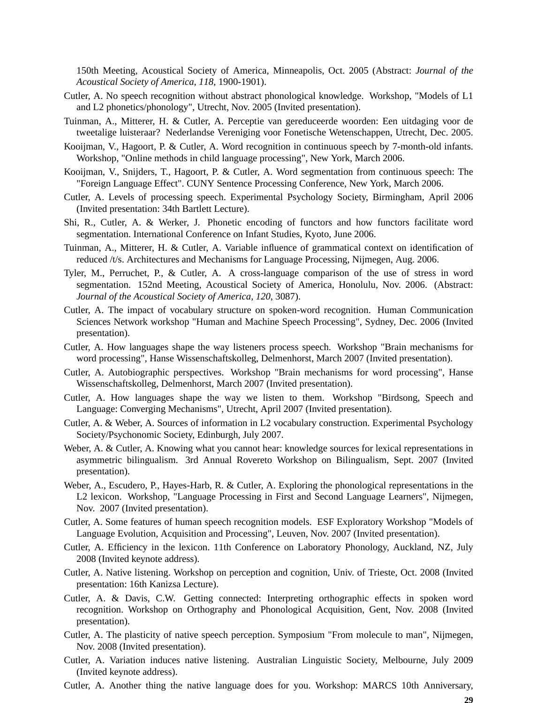150th Meeting, Acoustical Society of America, Minneapolis, Oct. 2005 (Abstract: *Journal of the Acoustical Society of America, 118*, 1900-1901).

- Cutler, A. No speech recognition without abstract phonological knowledge. Workshop, "Models of L1 and L2 phonetics/phonology", Utrecht, Nov. 2005 (Invited presentation).
- Tuinman, A., Mitterer, H. & Cutler, A. Perceptie van gereduceerde woorden: Een uitdaging voor de tweetalige luisteraar? Nederlandse Vereniging voor Fonetische Wetenschappen, Utrecht, Dec. 2005.
- Kooijman, V., Hagoort, P. & Cutler, A. Word recognition in continuous speech by 7-month-old infants. Workshop, "Online methods in child language processing", New York, March 2006.
- Kooijman, V., Snijders, T., Hagoort, P. & Cutler, A. Word segmentation from continuous speech: The "Foreign Language Effect". CUNY Sentence Processing Conference, New York, March 2006.
- Cutler, A. Levels of processing speech. Experimental Psychology Society, Birmingham, April 2006 (Invited presentation: 34th Bartlett Lecture).
- Shi, R., Cutler, A. & Werker, J. Phonetic encoding of functors and how functors facilitate word segmentation. International Conference on Infant Studies, Kyoto, June 2006.
- Tuinman, A., Mitterer, H. & Cutler, A. Variable influence of grammatical context on identification of reduced /t/s. Architectures and Mechanisms for Language Processing, Nijmegen, Aug. 2006.
- Tyler, M., Perruchet, P., & Cutler, A. A cross-language comparison of the use of stress in word segmentation. 152nd Meeting, Acoustical Society of America, Honolulu, Nov. 2006. (Abstract: *Journal of the Acoustical Society of America, 120*, 3087).
- Cutler, A. The impact of vocabulary structure on spoken-word recognition. Human Communication Sciences Network workshop "Human and Machine Speech Processing", Sydney, Dec. 2006 (Invited presentation).
- Cutler, A. How languages shape the way listeners process speech. Workshop "Brain mechanisms for word processing", Hanse Wissenschaftskolleg, Delmenhorst, March 2007 (Invited presentation).
- Cutler, A. Autobiographic perspectives. Workshop "Brain mechanisms for word processing", Hanse Wissenschaftskolleg, Delmenhorst, March 2007 (Invited presentation).
- Cutler, A. How languages shape the way we listen to them. Workshop "Birdsong, Speech and Language: Converging Mechanisms", Utrecht, April 2007 (Invited presentation).
- Cutler, A. & Weber, A. Sources of information in L2 vocabulary construction. Experimental Psychology Society/Psychonomic Society, Edinburgh, July 2007.
- Weber, A. & Cutler, A. Knowing what you cannot hear: knowledge sources for lexical representations in asymmetric bilingualism. 3rd Annual Rovereto Workshop on Bilingualism, Sept. 2007 (Invited presentation).
- Weber, A., Escudero, P., Hayes-Harb, R. & Cutler, A. Exploring the phonological representations in the L2 lexicon. Workshop, "Language Processing in First and Second Language Learners", Nijmegen, Nov. 2007 (Invited presentation).
- Cutler, A. Some features of human speech recognition models. ESF Exploratory Workshop "Models of Language Evolution, Acquisition and Processing", Leuven, Nov. 2007 (Invited presentation).
- Cutler, A. Efficiency in the lexicon. 11th Conference on Laboratory Phonology, Auckland, NZ, July 2008 (Invited keynote address).
- Cutler, A. Native listening. Workshop on perception and cognition, Univ. of Trieste, Oct. 2008 (Invited presentation: 16th Kanizsa Lecture).
- Cutler, A. & Davis, C.W. Getting connected: Interpreting orthographic effects in spoken word recognition. Workshop on Orthography and Phonological Acquisition, Gent, Nov. 2008 (Invited presentation).
- Cutler, A. The plasticity of native speech perception. Symposium "From molecule to man", Nijmegen, Nov. 2008 (Invited presentation).
- Cutler, A. Variation induces native listening. Australian Linguistic Society, Melbourne, July 2009 (Invited keynote address).
- Cutler, A. Another thing the native language does for you. Workshop: MARCS 10th Anniversary,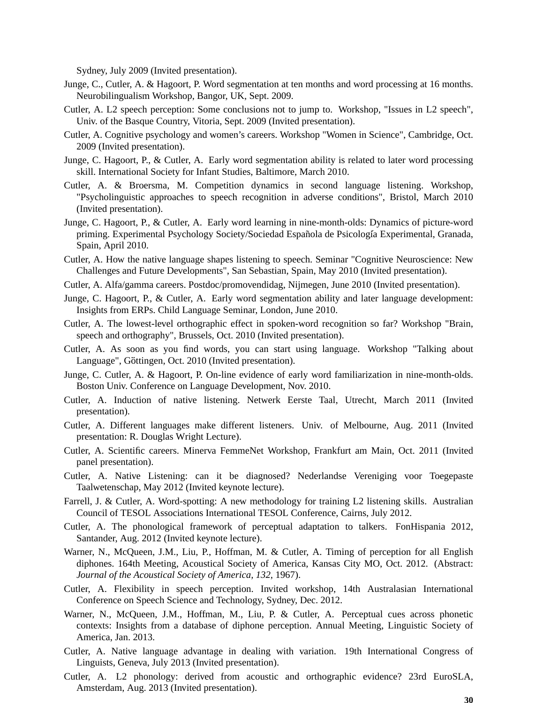Sydney, July 2009 (Invited presentation).

- Junge, C., Cutler, A. & Hagoort, P. Word segmentation at ten months and word processing at 16 months. Neurobilingualism Workshop, Bangor, UK, Sept. 2009.
- Cutler, A. L2 speech perception: Some conclusions not to jump to. Workshop, "Issues in L2 speech", Univ. of the Basque Country, Vitoria, Sept. 2009 (Invited presentation).
- Cutler, A. Cognitive psychology and women's careers. Workshop "Women in Science", Cambridge, Oct. 2009 (Invited presentation).
- Junge, C. Hagoort, P., & Cutler, A. Early word segmentation ability is related to later word processing skill. International Society for Infant Studies, Baltimore, March 2010.
- Cutler, A. & Broersma, M. Competition dynamics in second language listening. Workshop, "Psycholinguistic approaches to speech recognition in adverse conditions", Bristol, March 2010 (Invited presentation).
- Junge, C. Hagoort, P., & Cutler, A. Early word learning in nine-month-olds: Dynamics of picture-word priming. Experimental Psychology Society/Sociedad Española de Psicología Experimental, Granada, Spain, April 2010.
- Cutler, A. How the native language shapes listening to speech. Seminar "Cognitive Neuroscience: New Challenges and Future Developments", San Sebastian, Spain, May 2010 (Invited presentation).
- Cutler, A. Alfa/gamma careers. Postdoc/promovendidag, Nijmegen, June 2010 (Invited presentation).
- Junge, C. Hagoort, P., & Cutler, A. Early word segmentation ability and later language development: Insights from ERPs. Child Language Seminar, London, June 2010.
- Cutler, A. The lowest-level orthographic effect in spoken-word recognition so far? Workshop "Brain, speech and orthography", Brussels, Oct. 2010 (Invited presentation).
- Cutler, A. As soon as you find words, you can start using language. Workshop "Talking about Language", Göttingen, Oct. 2010 (Invited presentation).
- Junge, C. Cutler, A. & Hagoort, P. On-line evidence of early word familiarization in nine-month-olds. Boston Univ. Conference on Language Development, Nov. 2010.
- Cutler, A. Induction of native listening. Netwerk Eerste Taal, Utrecht, March 2011 (Invited presentation).
- Cutler, A. Different languages make different listeners. Univ. of Melbourne, Aug. 2011 (Invited presentation: R. Douglas Wright Lecture).
- Cutler, A. Scientific careers. Minerva FemmeNet Workshop, Frankfurt am Main, Oct. 2011 (Invited panel presentation).
- Cutler, A. Native Listening: can it be diagnosed? Nederlandse Vereniging voor Toegepaste Taalwetenschap, May 2012 (Invited keynote lecture).
- Farrell, J. & Cutler, A. Word-spotting: A new methodology for training L2 listening skills. Australian Council of TESOL Associations International TESOL Conference, Cairns, July 2012.
- Cutler, A. The phonological framework of perceptual adaptation to talkers. FonHispania 2012, Santander, Aug. 2012 (Invited keynote lecture).
- Warner, N., McQueen, J.M., Liu, P., Hoffman, M. & Cutler, A. Timing of perception for all English diphones. 164th Meeting, Acoustical Society of America, Kansas City MO, Oct. 2012. (Abstract: *Journal of the Acoustical Society of America, 132*, 1967).
- Cutler, A. Flexibility in speech perception. Invited workshop, 14th Australasian International Conference on Speech Science and Technology, Sydney, Dec. 2012.
- Warner, N., McQueen, J.M., Hoffman, M., Liu, P. & Cutler, A. Perceptual cues across phonetic contexts: Insights from a database of diphone perception. Annual Meeting, Linguistic Society of America, Jan. 2013.
- Cutler, A. Native language advantage in dealing with variation. 19th International Congress of Linguists, Geneva, July 2013 (Invited presentation).
- Cutler, A. L2 phonology: derived from acoustic and orthographic evidence? 23rd EuroSLA, Amsterdam, Aug. 2013 (Invited presentation).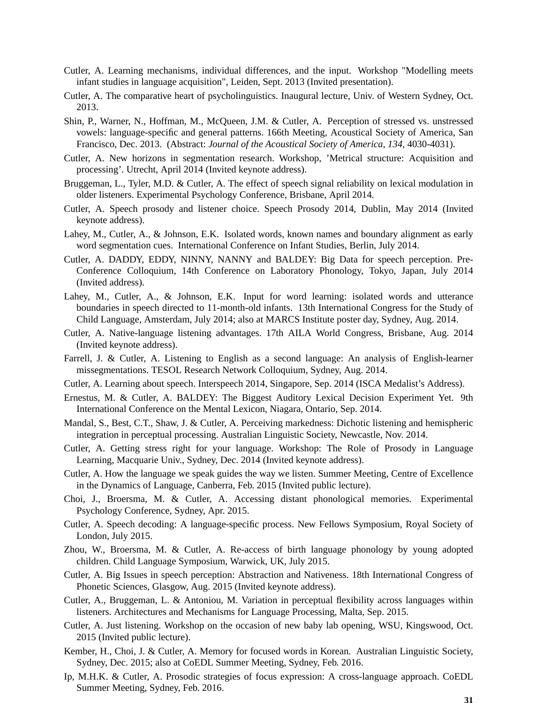- Cutler, A. Learning mechanisms, individual differences, and the input. Workshop "Modelling meets infant studies in language acquisition", Leiden, Sept. 2013 (Invited presentation).
- Cutler, A. The comparative heart of psycholinguistics. Inaugural lecture, Univ. of Western Sydney, Oct. 2013.
- Shin, P., Warner, N., Hoffman, M., McQueen, J.M. & Cutler, A. Perception of stressed vs. unstressed vowels: language-specific and general patterns. 166th Meeting, Acoustical Society of America, San Francisco, Dec. 2013. (Abstract: *Journal of the Acoustical Society of America, 134*, 4030-4031).
- Cutler, A. New horizons in segmentation research. Workshop, 'Metrical structure: Acquisition and processing'. Utrecht, April 2014 (Invited keynote address).
- Bruggeman, L., Tyler, M.D. & Cutler, A. The effect of speech signal reliability on lexical modulation in older listeners. Experimental Psychology Conference, Brisbane, April 2014.
- Cutler, A. Speech prosody and listener choice. Speech Prosody 2014, Dublin, May 2014 (Invited keynote address).
- Lahey, M., Cutler, A., & Johnson, E.K. Isolated words, known names and boundary alignment as early word segmentation cues. International Conference on Infant Studies, Berlin, July 2014.
- Cutler, A. DADDY, EDDY, NINNY, NANNY and BALDEY: Big Data for speech perception. Pre-Conference Colloquium, 14th Conference on Laboratory Phonology, Tokyo, Japan, July 2014 (Invited address).
- Lahey, M., Cutler, A., & Johnson, E.K. Input for word learning: isolated words and utterance boundaries in speech directed to 11-month-old infants. 13th International Congress for the Study of Child Language, Amsterdam, July 2014; also at MARCS Institute poster day, Sydney, Aug. 2014.
- Cutler, A. Native-language listening advantages. 17th AILA World Congress, Brisbane, Aug. 2014 (Invited keynote address).
- Farrell, J. & Cutler, A. Listening to English as a second language: An analysis of English-learner missegmentations. TESOL Research Network Colloquium, Sydney, Aug. 2014.
- Cutler, A. Learning about speech. Interspeech 2014, Singapore, Sep. 2014 (ISCA Medalist's Address).
- Ernestus, M. & Cutler, A. BALDEY: The Biggest Auditory Lexical Decision Experiment Yet. 9th International Conference on the Mental Lexicon, Niagara, Ontario, Sep. 2014.
- Mandal, S., Best, C.T., Shaw, J. & Cutler, A. Perceiving markedness: Dichotic listening and hemispheric integration in perceptual processing. Australian Linguistic Society, Newcastle, Nov. 2014.
- Cutler, A. Getting stress right for your language. Workshop: The Role of Prosody in Language Learning, Macquarie Univ., Sydney, Dec. 2014 (Invited keynote address).
- Cutler, A. How the language we speak guides the way we listen. Summer Meeting, Centre of Excellence in the Dynamics of Language, Canberra, Feb. 2015 (Invited public lecture).
- Choi, J., Broersma, M. & Cutler, A. Accessing distant phonological memories. Experimental Psychology Conference, Sydney, Apr. 2015.
- Cutler, A. Speech decoding: A language-specific process. New Fellows Symposium, Royal Society of London, July 2015.
- Zhou, W., Broersma, M. & Cutler, A. Re-access of birth language phonology by young adopted children. Child Language Symposium, Warwick, UK, July 2015.
- Cutler, A. Big Issues in speech perception: Abstraction and Nativeness. 18th International Congress of Phonetic Sciences, Glasgow, Aug. 2015 (Invited keynote address).
- Cutler, A., Bruggeman, L. & Antoniou, M. Variation in perceptual flexibility across languages within listeners. Architectures and Mechanisms for Language Processing, Malta, Sep. 2015.
- Cutler, A. Just listening. Workshop on the occasion of new baby lab opening, WSU, Kingswood, Oct. 2015 (Invited public lecture).
- Kember, H., Choi, J. & Cutler, A. Memory for focused words in Korean. Australian Linguistic Society, Sydney, Dec. 2015; also at CoEDL Summer Meeting, Sydney, Feb. 2016.
- Ip, M.H.K. & Cutler, A. Prosodic strategies of focus expression: A cross-language approach. CoEDL Summer Meeting, Sydney, Feb. 2016.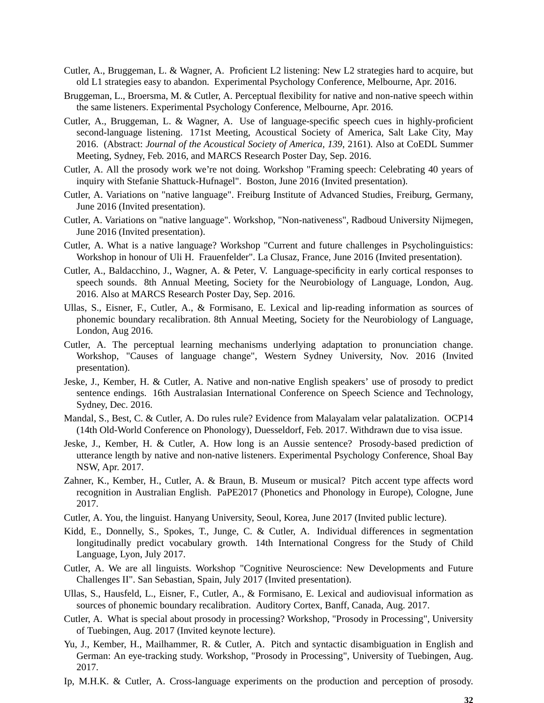- Cutler, A., Bruggeman, L. & Wagner, A. Proficient L2 listening: New L2 strategies hard to acquire, but old L1 strategies easy to abandon. Experimental Psychology Conference, Melbourne, Apr. 2016.
- Bruggeman, L., Broersma, M. & Cutler, A. Perceptual flexibility for native and non-native speech within the same listeners. Experimental Psychology Conference, Melbourne, Apr. 2016.
- Cutler, A., Bruggeman, L. & Wagner, A. Use of language-specific speech cues in highly-proficient second-language listening. 171st Meeting, Acoustical Society of America, Salt Lake City, May 2016. (Abstract: *Journal of the Acoustical Society of America, 139*, 2161). Also at CoEDL Summer Meeting, Sydney, Feb. 2016, and MARCS Research Poster Day, Sep. 2016.
- Cutler, A. All the prosody work we're not doing. Workshop "Framing speech: Celebrating 40 years of inquiry with Stefanie Shattuck-Hufnagel". Boston, June 2016 (Invited presentation).
- Cutler, A. Variations on "native language". Freiburg Institute of Advanced Studies, Freiburg, Germany, June 2016 (Invited presentation).
- Cutler, A. Variations on "native language". Workshop, "Non-nativeness", Radboud University Nijmegen, June 2016 (Invited presentation).
- Cutler, A. What is a native language? Workshop "Current and future challenges in Psycholinguistics: Workshop in honour of Uli H. Frauenfelder". La Clusaz, France, June 2016 (Invited presentation).
- Cutler, A., Baldacchino, J., Wagner, A. & Peter, V. Language-specificity in early cortical responses to speech sounds. 8th Annual Meeting, Society for the Neurobiology of Language, London, Aug. 2016. Also at MARCS Research Poster Day, Sep. 2016.
- Ullas, S., Eisner, F., Cutler, A., & Formisano, E. Lexical and lip-reading information as sources of phonemic boundary recalibration. 8th Annual Meeting, Society for the Neurobiology of Language, London, Aug 2016.
- Cutler, A. The perceptual learning mechanisms underlying adaptation to pronunciation change. Workshop, "Causes of language change", Western Sydney University, Nov. 2016 (Invited presentation).
- Jeske, J., Kember, H. & Cutler, A. Native and non-native English speakers' use of prosody to predict sentence endings. 16th Australasian International Conference on Speech Science and Technology, Sydney, Dec. 2016.
- Mandal, S., Best, C. & Cutler, A. Do rules rule? Evidence from Malayalam velar palatalization. OCP14 (14th Old-World Conference on Phonology), Duesseldorf, Feb. 2017. Withdrawn due to visa issue.
- Jeske, J., Kember, H. & Cutler, A. How long is an Aussie sentence? Prosody-based prediction of utterance length by native and non-native listeners. Experimental Psychology Conference, Shoal Bay NSW, Apr. 2017.
- Zahner, K., Kember, H., Cutler, A. & Braun, B. Museum or musical? Pitch accent type affects word recognition in Australian English. PaPE2017 (Phonetics and Phonology in Europe), Cologne, June 2017.
- Cutler, A. You, the linguist. Hanyang University, Seoul, Korea, June 2017 (Invited public lecture).
- Kidd, E., Donnelly, S., Spokes, T., Junge, C. & Cutler, A. Individual differences in segmentation longitudinally predict vocabulary growth. 14th International Congress for the Study of Child Language, Lyon, July 2017.
- Cutler, A. We are all linguists. Workshop "Cognitive Neuroscience: New Developments and Future Challenges II". San Sebastian, Spain, July 2017 (Invited presentation).
- Ullas, S., Hausfeld, L., Eisner, F., Cutler, A., & Formisano, E. Lexical and audiovisual information as sources of phonemic boundary recalibration. Auditory Cortex, Banff, Canada, Aug. 2017.
- Cutler, A. What is special about prosody in processing? Workshop, "Prosody in Processing", University of Tuebingen, Aug. 2017 (Invited keynote lecture).
- Yu, J., Kember, H., Mailhammer, R. & Cutler, A. Pitch and syntactic disambiguation in English and German: An eye-tracking study. Workshop, "Prosody in Processing", University of Tuebingen, Aug. 2017.
- Ip, M.H.K. & Cutler, A. Cross-language experiments on the production and perception of prosody.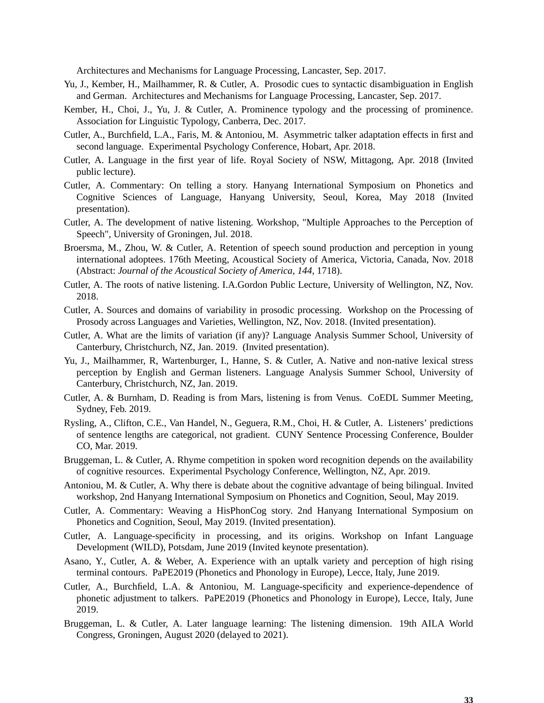Architectures and Mechanisms for Language Processing, Lancaster, Sep. 2017.

- Yu, J., Kember, H., Mailhammer, R. & Cutler, A. Prosodic cues to syntactic disambiguation in English and German. Architectures and Mechanisms for Language Processing, Lancaster, Sep. 2017.
- Kember, H., Choi, J., Yu, J. & Cutler, A. Prominence typology and the processing of prominence. Association for Linguistic Typology, Canberra, Dec. 2017.
- Cutler, A., Burchfield, L.A., Faris, M. & Antoniou, M. Asymmetric talker adaptation effects in first and second language. Experimental Psychology Conference, Hobart, Apr. 2018.
- Cutler, A. Language in the first year of life. Royal Society of NSW, Mittagong, Apr. 2018 (Invited public lecture).
- Cutler, A. Commentary: On telling a story. Hanyang International Symposium on Phonetics and Cognitive Sciences of Language, Hanyang University, Seoul, Korea, May 2018 (Invited presentation).
- Cutler, A. The development of native listening. Workshop, "Multiple Approaches to the Perception of Speech", University of Groningen, Jul. 2018.
- Broersma, M., Zhou, W. & Cutler, A. Retention of speech sound production and perception in young international adoptees. 176th Meeting, Acoustical Society of America, Victoria, Canada, Nov. 2018 (Abstract: *Journal of the Acoustical Society of America, 144*, 1718).
- Cutler, A. The roots of native listening. I.A.Gordon Public Lecture, University of Wellington, NZ, Nov. 2018.
- Cutler, A. Sources and domains of variability in prosodic processing. Workshop on the Processing of Prosody across Languages and Varieties, Wellington, NZ, Nov. 2018. (Invited presentation).
- Cutler, A. What are the limits of variation (if any)? Language Analysis Summer School, University of Canterbury, Christchurch, NZ, Jan. 2019. (Invited presentation).
- Yu, J., Mailhammer, R, Wartenburger, I., Hanne, S. & Cutler, A. Native and non-native lexical stress perception by English and German listeners. Language Analysis Summer School, University of Canterbury, Christchurch, NZ, Jan. 2019.
- Cutler, A. & Burnham, D. Reading is from Mars, listening is from Venus. CoEDL Summer Meeting, Sydney, Feb. 2019.
- Rysling, A., Clifton, C.E., Van Handel, N., Geguera, R.M., Choi, H. & Cutler, A. Listeners' predictions of sentence lengths are categorical, not gradient. CUNY Sentence Processing Conference, Boulder CO, Mar. 2019.
- Bruggeman, L. & Cutler, A. Rhyme competition in spoken word recognition depends on the availability of cognitive resources. Experimental Psychology Conference, Wellington, NZ, Apr. 2019.
- Antoniou, M. & Cutler, A. Why there is debate about the cognitive advantage of being bilingual. Invited workshop, 2nd Hanyang International Symposium on Phonetics and Cognition, Seoul, May 2019.
- Cutler, A. Commentary: Weaving a HisPhonCog story. 2nd Hanyang International Symposium on Phonetics and Cognition, Seoul, May 2019. (Invited presentation).
- Cutler, A. Language-specificity in processing, and its origins. Workshop on Infant Language Development (WILD), Potsdam, June 2019 (Invited keynote presentation).
- Asano, Y., Cutler, A. & Weber, A. Experience with an uptalk variety and perception of high rising terminal contours. PaPE2019 (Phonetics and Phonology in Europe), Lecce, Italy, June 2019.
- Cutler, A., Burchfield, L.A. & Antoniou, M. Language-specificity and experience-dependence of phonetic adjustment to talkers. PaPE2019 (Phonetics and Phonology in Europe), Lecce, Italy, June 2019.
- Bruggeman, L. & Cutler, A. Later language learning: The listening dimension. 19th AILA World Congress, Groningen, August 2020 (delayed to 2021).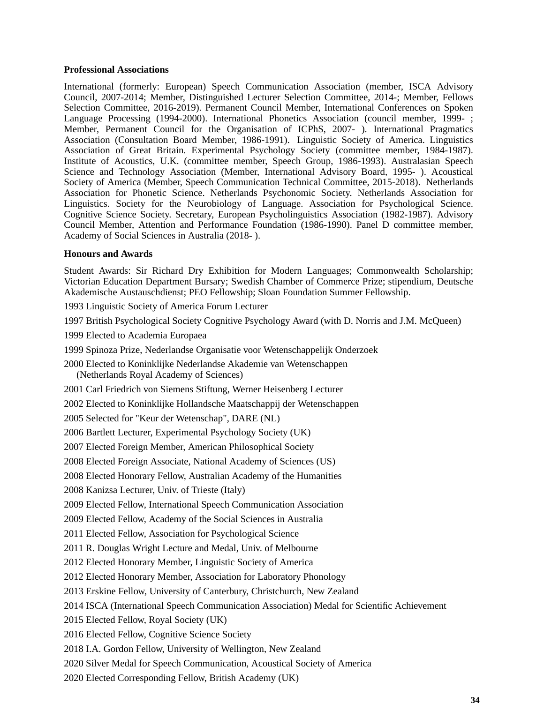### **Professional Associations**

International (formerly: European) Speech Communication Association (member, ISCA Advisory Council, 2007-2014; Member, Distinguished Lecturer Selection Committee, 2014-; Member, Fellows Selection Committee, 2016-2019). Permanent Council Member, International Conferences on Spoken Language Processing (1994-2000). International Phonetics Association (council member, 1999- ; Member, Permanent Council for the Organisation of ICPhS, 2007- ). International Pragmatics Association (Consultation Board Member, 1986-1991). Linguistic Society of America. Linguistics Association of Great Britain. Experimental Psychology Society (committee member, 1984-1987). Institute of Acoustics, U.K. (committee member, Speech Group, 1986-1993). Australasian Speech Science and Technology Association (Member, International Advisory Board, 1995- ). Acoustical Society of America (Member, Speech Communication Technical Committee, 2015-2018). Netherlands Association for Phonetic Science. Netherlands Psychonomic Society. Netherlands Association for Linguistics. Society for the Neurobiology of Language. Association for Psychological Science. Cognitive Science Society. Secretary, European Psycholinguistics Association (1982-1987). Advisory Council Member, Attention and Performance Foundation (1986-1990). Panel D committee member, Academy of Social Sciences in Australia (2018- ).

# **Honours and Awards**

Student Awards: Sir Richard Dry Exhibition for Modern Languages; Commonwealth Scholarship; Victorian Education Department Bursary; Swedish Chamber of Commerce Prize; stipendium, Deutsche Akademische Austauschdienst; PEO Fellowship; Sloan Foundation Summer Fellowship.

1993 Linguistic Society of America Forum Lecturer

1997 British Psychological Society Cognitive Psychology Award (with D. Norris and J.M. McQueen)

1999 Elected to Academia Europaea

1999 Spinoza Prize, Nederlandse Organisatie voor Wetenschappelijk Onderzoek

2000 Elected to Koninklijke Nederlandse Akademie van Wetenschappen (Netherlands Royal Academy of Sciences)

2001 Carl Friedrich von Siemens Stiftung, Werner Heisenberg Lecturer

2002 Elected to Koninklijke Hollandsche Maatschappij der Wetenschappen

2005 Selected for "Keur der Wetenschap", DARE (NL)

2006 Bartlett Lecturer, Experimental Psychology Society (UK)

2007 Elected Foreign Member, American Philosophical Society

2008 Elected Foreign Associate, National Academy of Sciences (US)

2008 Elected Honorary Fellow, Australian Academy of the Humanities

2008 Kanizsa Lecturer, Univ. of Trieste (Italy)

2009 Elected Fellow, International Speech Communication Association

2009 Elected Fellow, Academy of the Social Sciences in Australia

2011 Elected Fellow, Association for Psychological Science

2011 R. Douglas Wright Lecture and Medal, Univ. of Melbourne

2012 Elected Honorary Member, Linguistic Society of America

2012 Elected Honorary Member, Association for Laboratory Phonology

2013 Erskine Fellow, University of Canterbury, Christchurch, New Zealand

2014 ISCA (International Speech Communication Association) Medal for Scientific Achievement

2015 Elected Fellow, Royal Society (UK)

2016 Elected Fellow, Cognitive Science Society

2018 I.A. Gordon Fellow, University of Wellington, New Zealand

2020 Silver Medal for Speech Communication, Acoustical Society of America

2020 Elected Corresponding Fellow, British Academy (UK)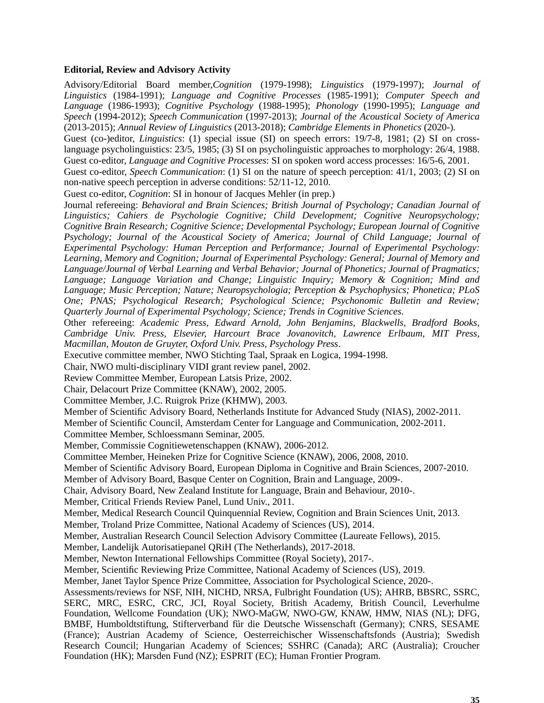### **Editorial, Review and Advisory Activity**

Advisory/Editorial Board member,*Cognition* (1979-1998); *Linguistics* (1979-1997); *Journal of Linguistics* (1984-1991); *Language and Cognitive Processes* (1985-1991); *Computer Speech and Language* (1986-1993); *Cognitive Psychology* (1988-1995); *Phonology* (1990-1995); *Language and Speech* (1994-2012); *Speech Communication* (1997-2013); *Journal of the Acoustical Society of America* (2013-2015); *Annual Review of Linguistics* (2013-2018); *Cambridge Elements in Phonetics* (2020-).

Guest (co-)editor, *Linguistics*: (1) special issue (SI) on speech errors: 19/7-8, 1981; (2) SI on crosslanguage psycholinguistics: 23/5, 1985; (3) SI on psycholinguistic approaches to morphology: 26/4, 1988. Guest co-editor, *Language and Cognitive Processes*: SI on spoken word access processes: 16/5-6, 2001.

Guest co-editor, *Speech Communication*: (1) SI on the nature of speech perception: 41/1, 2003; (2) SI on non-native speech perception in adverse conditions: 52/11-12, 2010.

Guest co-editor, *Cognition*: SI in honour of Jacques Mehler (in prep.)

Journal refereeing: *Behavioral and Brain Sciences; British Journal of Psychology; Canadian Journal of Linguistics; Cahiers de Psychologie Cognitive; Child Development; Cognitive Neuropsychology; Cognitive Brain Research; Cognitive Science; Developmental Psychology; European Journal of Cognitive Psychology; Journal of the Acoustical Society of America; Journal of Child Language; Journal of Experimental Psychology: Human Perception and Performance; Journal of Experimental Psychology: Learning, Memory and Cognition; Journal of Experimental Psychology: General; Journal of Memory and Language/Journal of Verbal Learning and Verbal Behavior; Journal of Phonetics; Journal of Pragmatics; Language; Language Variation and Change; Linguistic Inquiry; Memory & Cognition; Mind and Language; Music Perception; Nature; Neuropsychologia; Perception & Psychophysics; Phonetica; PLoS One; PNAS; Psychological Research; Psychological Science; Psychonomic Bulletin and Review; Quarterly Journal of Experimental Psychology; Science; Trends in Cognitive Sciences*.

Other refereeing: *Academic Press, Edward Arnold, John Benjamins, Blackwells, Bradford Books, Cambridge Univ. Press, Elsevier, Harcourt Brace Jovanovitch, Lawrence Erlbaum, MIT Press, Macmillan, Mouton de Gruyter, Oxford Univ. Press, Psychology Press*.

Executive committee member, NWO Stichting Taal, Spraak en Logica, 1994-1998.

Chair, NWO multi-disciplinary VIDI grant review panel, 2002.

Review Committee Member, European Latsis Prize, 2002.

Chair, Delacourt Prize Committee (KNAW), 2002, 2005.

Committee Member, J.C. Ruigrok Prize (KHMW), 2003.

Member of Scientific Advisory Board, Netherlands Institute for Advanced Study (NIAS), 2002-2011.

Member of Scientific Council, Amsterdam Center for Language and Communication, 2002-2011.

Committee Member, Schloessmann Seminar, 2005.

Member, Commissie Cognitiewetenschappen (KNAW), 2006-2012.

Committee Member, Heineken Prize for Cognitive Science (KNAW), 2006, 2008, 2010.

Member of Scientific Advisory Board, European Diploma in Cognitive and Brain Sciences, 2007-2010.

Member of Advisory Board, Basque Center on Cognition, Brain and Language, 2009-.

Chair, Advisory Board, New Zealand Institute for Language, Brain and Behaviour, 2010-.

Member, Critical Friends Review Panel, Lund Univ., 2011.

Member, Medical Research Council Quinquennial Review, Cognition and Brain Sciences Unit, 2013.

Member, Troland Prize Committee, National Academy of Sciences (US), 2014.

Member, Australian Research Council Selection Advisory Committee (Laureate Fellows), 2015.

Member, Landelijk Autorisatiepanel QRiH (The Netherlands), 2017-2018.

Member, Newton International Fellowships Committee (Royal Society), 2017-.

Member, Scientific Reviewing Prize Committee, National Academy of Sciences (US), 2019.

Member, Janet Taylor Spence Prize Committee, Association for Psychological Science, 2020-.

Assessments/reviews for NSF, NIH, NICHD, NRSA, Fulbright Foundation (US); AHRB, BBSRC, SSRC, SERC, MRC, ESRC, CRC, JCI, Royal Society, British Academy, British Council, Leverhulme Foundation, Wellcome Foundation (UK); NWO-MaGW, NWO-GW, KNAW, HMW, NIAS (NL); DFG, BMBF, Humboldtstiftung, Stifterverband für die Deutsche Wissenschaft (Germany); CNRS, SESAME (France); Austrian Academy of Science, Oesterreichischer Wissenschaftsfonds (Austria); Swedish Research Council; Hungarian Academy of Sciences; SSHRC (Canada); ARC (Australia); Croucher Foundation (HK); Marsden Fund (NZ); ESPRIT (EC); Human Frontier Program.